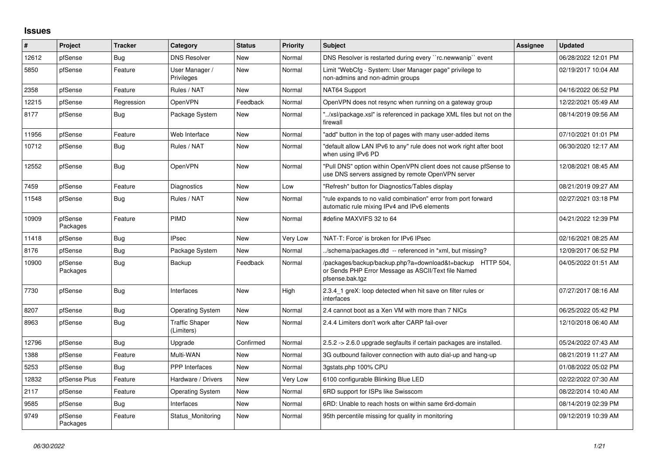## **Issues**

| #     | Project             | <b>Tracker</b> | Category                            | <b>Status</b> | <b>Priority</b> | <b>Subject</b>                                                                                                                      | Assignee | <b>Updated</b>      |
|-------|---------------------|----------------|-------------------------------------|---------------|-----------------|-------------------------------------------------------------------------------------------------------------------------------------|----------|---------------------|
| 12612 | pfSense             | Bug            | <b>DNS Resolver</b>                 | New           | Normal          | DNS Resolver is restarted during every "rc.newwanip" event                                                                          |          | 06/28/2022 12:01 PM |
| 5850  | pfSense             | Feature        | User Manager /<br>Privileges        | New           | Normal          | Limit "WebCfg - System: User Manager page" privilege to<br>non-admins and non-admin groups                                          |          | 02/19/2017 10:04 AM |
| 2358  | pfSense             | Feature        | Rules / NAT                         | New           | Normal          | NAT64 Support                                                                                                                       |          | 04/16/2022 06:52 PM |
| 12215 | pfSense             | Regression     | OpenVPN                             | Feedback      | Normal          | OpenVPN does not resync when running on a gateway group                                                                             |          | 12/22/2021 05:49 AM |
| 8177  | pfSense             | <b>Bug</b>     | Package System                      | New           | Normal          | "/xsl/package.xsl" is referenced in package XML files but not on the<br>firewall                                                    |          | 08/14/2019 09:56 AM |
| 11956 | pfSense             | Feature        | Web Interface                       | <b>New</b>    | Normal          | "add" button in the top of pages with many user-added items                                                                         |          | 07/10/2021 01:01 PM |
| 10712 | pfSense             | <b>Bug</b>     | Rules / NAT                         | <b>New</b>    | Normal          | "default allow LAN IPv6 to any" rule does not work right after boot<br>when using IPv6 PD                                           |          | 06/30/2020 12:17 AM |
| 12552 | pfSense             | <b>Bug</b>     | OpenVPN                             | <b>New</b>    | Normal          | "Pull DNS" option within OpenVPN client does not cause pfSense to<br>use DNS servers assigned by remote OpenVPN server              |          | 12/08/2021 08:45 AM |
| 7459  | pfSense             | Feature        | Diagnostics                         | New           | Low             | "Refresh" button for Diagnostics/Tables display                                                                                     |          | 08/21/2019 09:27 AM |
| 11548 | pfSense             | Bug            | Rules / NAT                         | New           | Normal          | "rule expands to no valid combination" error from port forward<br>automatic rule mixing IPv4 and IPv6 elements                      |          | 02/27/2021 03:18 PM |
| 10909 | pfSense<br>Packages | Feature        | PIMD                                | <b>New</b>    | Normal          | #define MAXVIFS 32 to 64                                                                                                            |          | 04/21/2022 12:39 PM |
| 11418 | pfSense             | Bug            | <b>IPsec</b>                        | New           | Very Low        | 'NAT-T: Force' is broken for IPv6 IPsec                                                                                             |          | 02/16/2021 08:25 AM |
| 8176  | pfSense             | Bug            | Package System                      | New           | Normal          | ./schema/packages.dtd -- referenced in *xml, but missing?                                                                           |          | 12/09/2017 06:52 PM |
| 10900 | pfSense<br>Packages | <b>Bug</b>     | Backup                              | Feedback      | Normal          | /packages/backup/backup.php?a=download&t=backup HTTP 504,<br>or Sends PHP Error Message as ASCII/Text file Named<br>pfsense.bak.tgz |          | 04/05/2022 01:51 AM |
| 7730  | pfSense             | Bug            | Interfaces                          | New           | High            | 2.3.4 1 greX: loop detected when hit save on filter rules or<br>interfaces                                                          |          | 07/27/2017 08:16 AM |
| 8207  | pfSense             | <b>Bug</b>     | <b>Operating System</b>             | New           | Normal          | 2.4 cannot boot as a Xen VM with more than 7 NICs                                                                                   |          | 06/25/2022 05:42 PM |
| 8963  | pfSense             | Bug            | <b>Traffic Shaper</b><br>(Limiters) | New           | Normal          | 2.4.4 Limiters don't work after CARP fail-over                                                                                      |          | 12/10/2018 06:40 AM |
| 12796 | pfSense             | <b>Bug</b>     | Upgrade                             | Confirmed     | Normal          | 2.5.2 -> 2.6.0 upgrade segfaults if certain packages are installed.                                                                 |          | 05/24/2022 07:43 AM |
| 1388  | pfSense             | Feature        | Multi-WAN                           | <b>New</b>    | Normal          | 3G outbound failover connection with auto dial-up and hang-up                                                                       |          | 08/21/2019 11:27 AM |
| 5253  | pfSense             | <b>Bug</b>     | <b>PPP</b> Interfaces               | New           | Normal          | 3gstats.php 100% CPU                                                                                                                |          | 01/08/2022 05:02 PM |
| 12832 | pfSense Plus        | Feature        | Hardware / Drivers                  | <b>New</b>    | Very Low        | 6100 configurable Blinking Blue LED                                                                                                 |          | 02/22/2022 07:30 AM |
| 2117  | pfSense             | Feature        | <b>Operating System</b>             | New           | Normal          | 6RD support for ISPs like Swisscom                                                                                                  |          | 08/22/2014 10:40 AM |
| 9585  | pfSense             | <b>Bug</b>     | Interfaces                          | New           | Normal          | 6RD: Unable to reach hosts on within same 6rd-domain                                                                                |          | 08/14/2019 02:39 PM |
| 9749  | pfSense<br>Packages | Feature        | Status_Monitoring                   | New           | Normal          | 95th percentile missing for quality in monitoring                                                                                   |          | 09/12/2019 10:39 AM |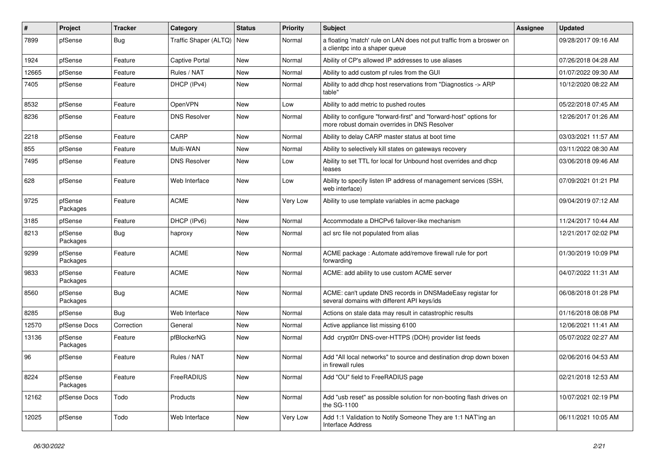| #     | Project             | <b>Tracker</b> | Category              | <b>Status</b> | <b>Priority</b> | Subject                                                                                                             | <b>Assignee</b> | <b>Updated</b>      |
|-------|---------------------|----------------|-----------------------|---------------|-----------------|---------------------------------------------------------------------------------------------------------------------|-----------------|---------------------|
| 7899  | pfSense             | Bug            | Traffic Shaper (ALTQ) | New           | Normal          | a floating 'match' rule on LAN does not put traffic from a broswer on<br>a clientpc into a shaper queue             |                 | 09/28/2017 09:16 AM |
| 1924  | pfSense             | Feature        | <b>Captive Portal</b> | New           | Normal          | Ability of CP's allowed IP addresses to use aliases                                                                 |                 | 07/26/2018 04:28 AM |
| 12665 | pfSense             | Feature        | Rules / NAT           | <b>New</b>    | Normal          | Ability to add custom pf rules from the GUI                                                                         |                 | 01/07/2022 09:30 AM |
| 7405  | pfSense             | Feature        | DHCP (IPv4)           | New           | Normal          | Ability to add dhcp host reservations from "Diagnostics -> ARP<br>table"                                            |                 | 10/12/2020 08:22 AM |
| 8532  | pfSense             | Feature        | OpenVPN               | New           | Low             | Ability to add metric to pushed routes                                                                              |                 | 05/22/2018 07:45 AM |
| 8236  | pfSense             | Feature        | <b>DNS Resolver</b>   | New           | Normal          | Ability to configure "forward-first" and "forward-host" options for<br>more robust domain overrides in DNS Resolver |                 | 12/26/2017 01:26 AM |
| 2218  | pfSense             | Feature        | CARP                  | <b>New</b>    | Normal          | Ability to delay CARP master status at boot time                                                                    |                 | 03/03/2021 11:57 AM |
| 855   | pfSense             | Feature        | Multi-WAN             | New           | Normal          | Ability to selectively kill states on gateways recovery                                                             |                 | 03/11/2022 08:30 AM |
| 7495  | pfSense             | Feature        | <b>DNS Resolver</b>   | New           | Low             | Ability to set TTL for local for Unbound host overrides and dhcp<br>leases                                          |                 | 03/06/2018 09:46 AM |
| 628   | pfSense             | Feature        | Web Interface         | New           | Low             | Ability to specify listen IP address of management services (SSH,<br>web interface)                                 |                 | 07/09/2021 01:21 PM |
| 9725  | pfSense<br>Packages | Feature        | <b>ACME</b>           | New           | Very Low        | Ability to use template variables in acme package                                                                   |                 | 09/04/2019 07:12 AM |
| 3185  | pfSense             | Feature        | DHCP (IPv6)           | New           | Normal          | Accommodate a DHCPv6 failover-like mechanism                                                                        |                 | 11/24/2017 10:44 AM |
| 8213  | pfSense<br>Packages | Bug            | haproxy               | New           | Normal          | acl src file not populated from alias                                                                               |                 | 12/21/2017 02:02 PM |
| 9299  | pfSense<br>Packages | Feature        | <b>ACME</b>           | New           | Normal          | ACME package : Automate add/remove firewall rule for port<br>forwarding                                             |                 | 01/30/2019 10:09 PM |
| 9833  | pfSense<br>Packages | Feature        | <b>ACME</b>           | New           | Normal          | ACME: add ability to use custom ACME server                                                                         |                 | 04/07/2022 11:31 AM |
| 8560  | pfSense<br>Packages | Bug            | <b>ACME</b>           | New           | Normal          | ACME: can't update DNS records in DNSMadeEasy registar for<br>several domains with different API keys/ids           |                 | 06/08/2018 01:28 PM |
| 8285  | pfSense             | Bug            | Web Interface         | New           | Normal          | Actions on stale data may result in catastrophic results                                                            |                 | 01/16/2018 08:08 PM |
| 12570 | pfSense Docs        | Correction     | General               | New           | Normal          | Active appliance list missing 6100                                                                                  |                 | 12/06/2021 11:41 AM |
| 13136 | pfSense<br>Packages | Feature        | pfBlockerNG           | New           | Normal          | Add crypt0rr DNS-over-HTTPS (DOH) provider list feeds                                                               |                 | 05/07/2022 02:27 AM |
| 96    | pfSense             | Feature        | Rules / NAT           | New           | Normal          | Add "All local networks" to source and destination drop down boxen<br>in firewall rules                             |                 | 02/06/2016 04:53 AM |
| 8224  | pfSense<br>Packages | Feature        | FreeRADIUS            | New           | Normal          | Add "OU" field to FreeRADIUS page                                                                                   |                 | 02/21/2018 12:53 AM |
| 12162 | pfSense Docs        | Todo           | Products              | New           | Normal          | Add "usb reset" as possible solution for non-booting flash drives on<br>the SG-1100                                 |                 | 10/07/2021 02:19 PM |
| 12025 | pfSense             | Todo           | Web Interface         | New           | Very Low        | Add 1:1 Validation to Notify Someone They are 1:1 NAT'ing an<br>Interface Address                                   |                 | 06/11/2021 10:05 AM |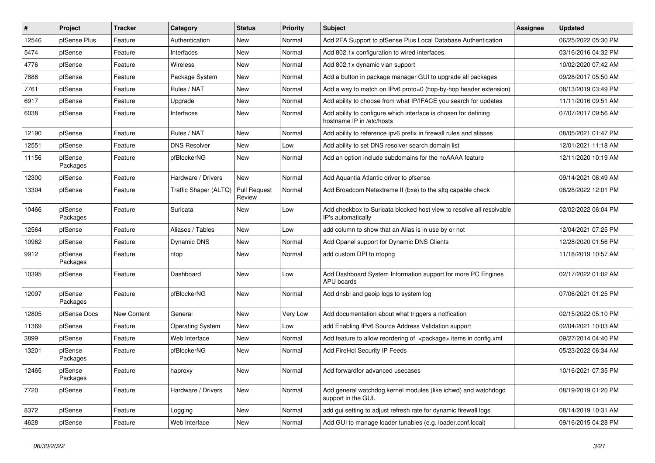| $\vert$ # | Project             | <b>Tracker</b> | Category                | <b>Status</b>                 | <b>Priority</b> | <b>Subject</b>                                                                               | <b>Assignee</b> | <b>Updated</b>      |
|-----------|---------------------|----------------|-------------------------|-------------------------------|-----------------|----------------------------------------------------------------------------------------------|-----------------|---------------------|
| 12546     | pfSense Plus        | Feature        | Authentication          | New                           | Normal          | Add 2FA Support to pfSense Plus Local Database Authentication                                |                 | 06/25/2022 05:30 PM |
| 5474      | pfSense             | Feature        | Interfaces              | New                           | Normal          | Add 802.1x configuration to wired interfaces.                                                |                 | 03/16/2016 04:32 PM |
| 4776      | pfSense             | Feature        | <b>Wireless</b>         | New                           | Normal          | Add 802.1x dynamic vlan support                                                              |                 | 10/02/2020 07:42 AM |
| 7888      | pfSense             | Feature        | Package System          | New                           | Normal          | Add a button in package manager GUI to upgrade all packages                                  |                 | 09/28/2017 05:50 AM |
| 7761      | pfSense             | Feature        | Rules / NAT             | New                           | Normal          | Add a way to match on IPv6 proto=0 (hop-by-hop header extension)                             |                 | 08/13/2019 03:49 PM |
| 6917      | pfSense             | Feature        | Upgrade                 | New                           | Normal          | Add ability to choose from what IP/IFACE you search for updates                              |                 | 11/11/2016 09:51 AM |
| 6038      | pfSense             | Feature        | Interfaces              | New                           | Normal          | Add ability to configure which interface is chosen for defining<br>hostname IP in /etc/hosts |                 | 07/07/2017 09:56 AM |
| 12190     | pfSense             | Feature        | Rules / NAT             | New                           | Normal          | Add ability to reference ipv6 prefix in firewall rules and aliases                           |                 | 08/05/2021 01:47 PM |
| 12551     | pfSense             | Feature        | <b>DNS Resolver</b>     | New                           | Low             | Add ability to set DNS resolver search domain list                                           |                 | 12/01/2021 11:18 AM |
| 11156     | pfSense<br>Packages | Feature        | pfBlockerNG             | New                           | Normal          | Add an option include subdomains for the noAAAA feature                                      |                 | 12/11/2020 10:19 AM |
| 12300     | pfSense             | Feature        | Hardware / Drivers      | New                           | Normal          | Add Aquantia Atlantic driver to pfsense                                                      |                 | 09/14/2021 06:49 AM |
| 13304     | pfSense             | Feature        | Traffic Shaper (ALTQ)   | <b>Pull Request</b><br>Review | Normal          | Add Broadcom Netextreme II (bxe) to the altg capable check                                   |                 | 06/28/2022 12:01 PM |
| 10466     | pfSense<br>Packages | Feature        | Suricata                | New                           | Low             | Add checkbox to Suricata blocked host view to resolve all resolvable<br>IP's automatically   |                 | 02/02/2022 06:04 PM |
| 12564     | pfSense             | Feature        | Aliases / Tables        | New                           | Low             | add column to show that an Alias is in use by or not                                         |                 | 12/04/2021 07:25 PM |
| 10962     | pfSense             | Feature        | Dynamic DNS             | New                           | Normal          | Add Cpanel support for Dynamic DNS Clients                                                   |                 | 12/28/2020 01:56 PM |
| 9912      | pfSense<br>Packages | Feature        | ntop                    | New                           | Normal          | add custom DPI to ntopng                                                                     |                 | 11/18/2019 10:57 AM |
| 10395     | pfSense             | Feature        | Dashboard               | New                           | Low             | Add Dashboard System Information support for more PC Engines<br>APU boards                   |                 | 02/17/2022 01:02 AM |
| 12097     | pfSense<br>Packages | Feature        | pfBlockerNG             | New                           | Normal          | Add dnsbl and geoip logs to system log                                                       |                 | 07/06/2021 01:25 PM |
| 12805     | pfSense Docs        | New Content    | General                 | New                           | Very Low        | Add documentation about what triggers a notfication                                          |                 | 02/15/2022 05:10 PM |
| 11369     | pfSense             | Feature        | <b>Operating System</b> | New                           | Low             | add Enabling IPv6 Source Address Validation support                                          |                 | 02/04/2021 10:03 AM |
| 3899      | pfSense             | Feature        | Web Interface           | New                           | Normal          | Add feature to allow reordering of <package> items in config.xml</package>                   |                 | 09/27/2014 04:40 PM |
| 13201     | pfSense<br>Packages | Feature        | pfBlockerNG             | New                           | Normal          | Add FireHol Security IP Feeds                                                                |                 | 05/23/2022 06:34 AM |
| 12465     | pfSense<br>Packages | Feature        | haproxy                 | New                           | Normal          | Add forwardfor advanced usecases                                                             |                 | 10/16/2021 07:35 PM |
| 7720      | pfSense             | Feature        | Hardware / Drivers      | New                           | Normal          | Add general watchdog kernel modules (like ichwd) and watchdogd<br>support in the GUI.        |                 | 08/19/2019 01:20 PM |
| 8372      | pfSense             | Feature        | Logging                 | New                           | Normal          | add gui setting to adjust refresh rate for dynamic firewall logs                             |                 | 08/14/2019 10:31 AM |
| 4628      | pfSense             | Feature        | Web Interface           | New                           | Normal          | Add GUI to manage loader tunables (e.g. loader.conf.local)                                   |                 | 09/16/2015 04:28 PM |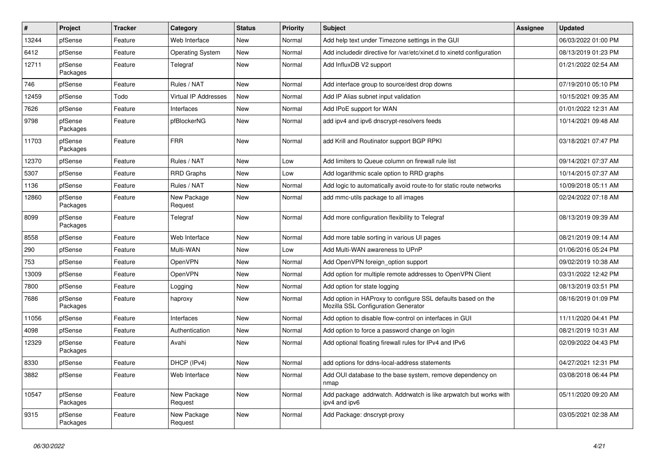| #     | Project             | <b>Tracker</b> | Category                    | <b>Status</b> | <b>Priority</b> | <b>Subject</b>                                                                                      | <b>Assignee</b> | <b>Updated</b>      |
|-------|---------------------|----------------|-----------------------------|---------------|-----------------|-----------------------------------------------------------------------------------------------------|-----------------|---------------------|
| 13244 | pfSense             | Feature        | Web Interface               | New           | Normal          | Add help text under Timezone settings in the GUI                                                    |                 | 06/03/2022 01:00 PM |
| 6412  | pfSense             | Feature        | <b>Operating System</b>     | <b>New</b>    | Normal          | Add includedir directive for /var/etc/xinet.d to xinetd configuration                               |                 | 08/13/2019 01:23 PM |
| 12711 | pfSense<br>Packages | Feature        | Telegraf                    | New           | Normal          | Add InfluxDB V2 support                                                                             |                 | 01/21/2022 02:54 AM |
| 746   | pfSense             | Feature        | Rules / NAT                 | New           | Normal          | Add interface group to source/dest drop downs                                                       |                 | 07/19/2010 05:10 PM |
| 12459 | pfSense             | Todo           | <b>Virtual IP Addresses</b> | New           | Normal          | Add IP Alias subnet input validation                                                                |                 | 10/15/2021 09:35 AM |
| 7626  | pfSense             | Feature        | Interfaces                  | New           | Normal          | Add IPoE support for WAN                                                                            |                 | 01/01/2022 12:31 AM |
| 9798  | pfSense<br>Packages | Feature        | pfBlockerNG                 | New           | Normal          | add ipv4 and ipv6 dnscrypt-resolvers feeds                                                          |                 | 10/14/2021 09:48 AM |
| 11703 | pfSense<br>Packages | Feature        | <b>FRR</b>                  | New           | Normal          | add Krill and Routinator support BGP RPKI                                                           |                 | 03/18/2021 07:47 PM |
| 12370 | pfSense             | Feature        | Rules / NAT                 | New           | Low             | Add limiters to Queue column on firewall rule list                                                  |                 | 09/14/2021 07:37 AM |
| 5307  | pfSense             | Feature        | <b>RRD Graphs</b>           | New           | Low             | Add logarithmic scale option to RRD graphs                                                          |                 | 10/14/2015 07:37 AM |
| 1136  | pfSense             | Feature        | Rules / NAT                 | <b>New</b>    | Normal          | Add logic to automatically avoid route-to for static route networks                                 |                 | 10/09/2018 05:11 AM |
| 12860 | pfSense<br>Packages | Feature        | New Package<br>Request      | <b>New</b>    | Normal          | add mmc-utils package to all images                                                                 |                 | 02/24/2022 07:18 AM |
| 8099  | pfSense<br>Packages | Feature        | Telegraf                    | New           | Normal          | Add more configuration flexibility to Telegraf                                                      |                 | 08/13/2019 09:39 AM |
| 8558  | pfSense             | Feature        | Web Interface               | New           | Normal          | Add more table sorting in various UI pages                                                          |                 | 08/21/2019 09:14 AM |
| 290   | pfSense             | Feature        | Multi-WAN                   | New           | Low             | Add Multi-WAN awareness to UPnP                                                                     |                 | 01/06/2016 05:24 PM |
| 753   | pfSense             | Feature        | OpenVPN                     | New           | Normal          | Add OpenVPN foreign option support                                                                  |                 | 09/02/2019 10:38 AM |
| 13009 | pfSense             | Feature        | OpenVPN                     | New           | Normal          | Add option for multiple remote addresses to OpenVPN Client                                          |                 | 03/31/2022 12:42 PM |
| 7800  | pfSense             | Feature        | Logging                     | New           | Normal          | Add option for state logging                                                                        |                 | 08/13/2019 03:51 PM |
| 7686  | pfSense<br>Packages | Feature        | haproxy                     | New           | Normal          | Add option in HAProxy to configure SSL defaults based on the<br>Mozilla SSL Configuration Generator |                 | 08/16/2019 01:09 PM |
| 11056 | pfSense             | Feature        | Interfaces                  | <b>New</b>    | Normal          | Add option to disable flow-control on interfaces in GUI                                             |                 | 11/11/2020 04:41 PM |
| 4098  | pfSense             | Feature        | Authentication              | New           | Normal          | Add option to force a password change on login                                                      |                 | 08/21/2019 10:31 AM |
| 12329 | pfSense<br>Packages | Feature        | Avahi                       | <b>New</b>    | Normal          | Add optional floating firewall rules for IPv4 and IPv6                                              |                 | 02/09/2022 04:43 PM |
| 8330  | pfSense             | Feature        | DHCP (IPv4)                 | New           | Normal          | add options for ddns-local-address statements                                                       |                 | 04/27/2021 12:31 PM |
| 3882  | pfSense             | Feature        | Web Interface               | New           | Normal          | Add OUI database to the base system, remove dependency on<br>nmap                                   |                 | 03/08/2018 06:44 PM |
| 10547 | pfSense<br>Packages | Feature        | New Package<br>Request      | New           | Normal          | Add package addrwatch. Addrwatch is like arpwatch but works with<br>ipv4 and ipv6                   |                 | 05/11/2020 09:20 AM |
| 9315  | pfSense<br>Packages | Feature        | New Package<br>Request      | New           | Normal          | Add Package: dnscrypt-proxy                                                                         |                 | 03/05/2021 02:38 AM |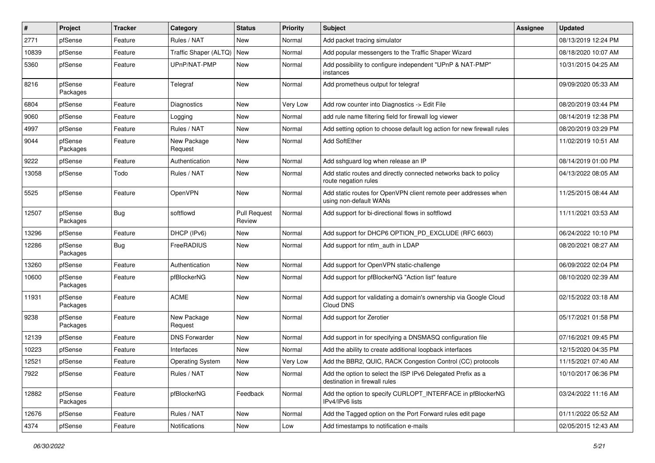| $\sharp$ | Project             | <b>Tracker</b> | Category                | <b>Status</b>                 | <b>Priority</b> | <b>Subject</b>                                                                               | <b>Assignee</b> | <b>Updated</b>      |
|----------|---------------------|----------------|-------------------------|-------------------------------|-----------------|----------------------------------------------------------------------------------------------|-----------------|---------------------|
| 2771     | pfSense             | Feature        | Rules / NAT             | New                           | Normal          | Add packet tracing simulator                                                                 |                 | 08/13/2019 12:24 PM |
| 10839    | pfSense             | Feature        | Traffic Shaper (ALTQ)   | <b>New</b>                    | Normal          | Add popular messengers to the Traffic Shaper Wizard                                          |                 | 08/18/2020 10:07 AM |
| 5360     | pfSense             | Feature        | UPnP/NAT-PMP            | New                           | Normal          | Add possibility to configure independent "UPnP & NAT-PMP"<br>instances                       |                 | 10/31/2015 04:25 AM |
| 8216     | pfSense<br>Packages | Feature        | Telegraf                | New                           | Normal          | Add prometheus output for telegraf                                                           |                 | 09/09/2020 05:33 AM |
| 6804     | pfSense             | Feature        | Diagnostics             | New                           | Very Low        | Add row counter into Diagnostics -> Edit File                                                |                 | 08/20/2019 03:44 PM |
| 9060     | pfSense             | Feature        | Logging                 | <b>New</b>                    | Normal          | add rule name filtering field for firewall log viewer                                        |                 | 08/14/2019 12:38 PM |
| 4997     | pfSense             | Feature        | Rules / NAT             | New                           | Normal          | Add setting option to choose default log action for new firewall rules                       |                 | 08/20/2019 03:29 PM |
| 9044     | pfSense<br>Packages | Feature        | New Package<br>Request  | New                           | Normal          | Add SoftEther                                                                                |                 | 11/02/2019 10:51 AM |
| 9222     | pfSense             | Feature        | Authentication          | New                           | Normal          | Add sshguard log when release an IP                                                          |                 | 08/14/2019 01:00 PM |
| 13058    | pfSense             | Todo           | Rules / NAT             | New                           | Normal          | Add static routes and directly connected networks back to policy<br>route negation rules     |                 | 04/13/2022 08:05 AM |
| 5525     | pfSense             | Feature        | OpenVPN                 | New                           | Normal          | Add static routes for OpenVPN client remote peer addresses when<br>using non-default WANs    |                 | 11/25/2015 08:44 AM |
| 12507    | pfSense<br>Packages | Bug            | softflowd               | <b>Pull Request</b><br>Review | Normal          | Add support for bi-directional flows in softflowd                                            |                 | 11/11/2021 03:53 AM |
| 13296    | pfSense             | Feature        | DHCP (IPv6)             | New                           | Normal          | Add support for DHCP6 OPTION_PD_EXCLUDE (RFC 6603)                                           |                 | 06/24/2022 10:10 PM |
| 12286    | pfSense<br>Packages | Bug            | FreeRADIUS              | New                           | Normal          | Add support for ntlm auth in LDAP                                                            |                 | 08/20/2021 08:27 AM |
| 13260    | pfSense             | Feature        | Authentication          | New                           | Normal          | Add support for OpenVPN static-challenge                                                     |                 | 06/09/2022 02:04 PM |
| 10600    | pfSense<br>Packages | Feature        | pfBlockerNG             | New                           | Normal          | Add support for pfBlockerNG "Action list" feature                                            |                 | 08/10/2020 02:39 AM |
| 11931    | pfSense<br>Packages | Feature        | <b>ACME</b>             | New                           | Normal          | Add support for validating a domain's ownership via Google Cloud<br>Cloud DNS                |                 | 02/15/2022 03:18 AM |
| 9238     | pfSense<br>Packages | Feature        | New Package<br>Request  | New                           | Normal          | Add support for Zerotier                                                                     |                 | 05/17/2021 01:58 PM |
| 12139    | pfSense             | Feature        | <b>DNS Forwarder</b>    | New                           | Normal          | Add support in for specifying a DNSMASQ configuration file                                   |                 | 07/16/2021 09:45 PM |
| 10223    | pfSense             | Feature        | Interfaces              | New                           | Normal          | Add the ability to create additional loopback interfaces                                     |                 | 12/15/2020 04:35 PM |
| 12521    | pfSense             | Feature        | <b>Operating System</b> | New                           | Very Low        | Add the BBR2, QUIC, RACK Congestion Control (CC) protocols                                   |                 | 11/15/2021 07:40 AM |
| 7922     | pfSense             | Feature        | Rules / NAT             | New                           | Normal          | Add the option to select the ISP IPv6 Delegated Prefix as a<br>destination in firewall rules |                 | 10/10/2017 06:36 PM |
| 12882    | pfSense<br>Packages | Feature        | pfBlockerNG             | Feedback                      | Normal          | Add the option to specify CURLOPT INTERFACE in pfBlockerNG<br>IPv4/IPv6 lists                |                 | 03/24/2022 11:16 AM |
| 12676    | pfSense             | Feature        | Rules / NAT             | New                           | Normal          | Add the Tagged option on the Port Forward rules edit page                                    |                 | 01/11/2022 05:52 AM |
| 4374     | pfSense             | Feature        | Notifications           | New                           | Low             | Add timestamps to notification e-mails                                                       |                 | 02/05/2015 12:43 AM |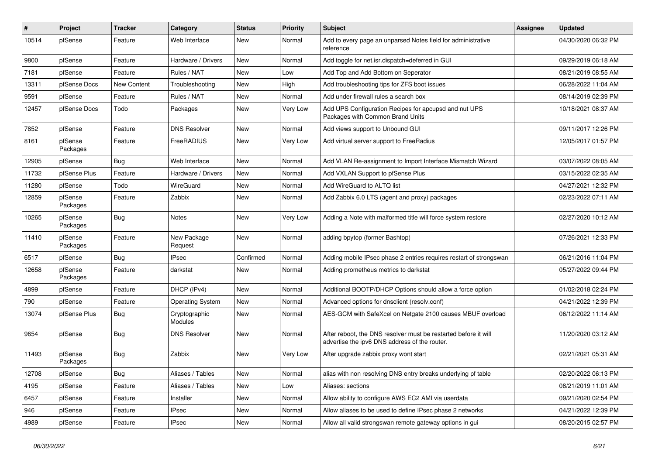| #     | Project             | <b>Tracker</b>     | Category                 | <b>Status</b> | <b>Priority</b> | <b>Subject</b>                                                                                                   | <b>Assignee</b> | <b>Updated</b>      |
|-------|---------------------|--------------------|--------------------------|---------------|-----------------|------------------------------------------------------------------------------------------------------------------|-----------------|---------------------|
| 10514 | pfSense             | Feature            | Web Interface            | <b>New</b>    | Normal          | Add to every page an unparsed Notes field for administrative<br>reference                                        |                 | 04/30/2020 06:32 PM |
| 9800  | pfSense             | Feature            | Hardware / Drivers       | New           | Normal          | Add toggle for net.isr.dispatch=deferred in GUI                                                                  |                 | 09/29/2019 06:18 AM |
| 7181  | pfSense             | Feature            | Rules / NAT              | New           | Low             | Add Top and Add Bottom on Seperator                                                                              |                 | 08/21/2019 08:55 AM |
| 13311 | pfSense Docs        | <b>New Content</b> | Troubleshooting          | New           | High            | Add troubleshooting tips for ZFS boot issues                                                                     |                 | 06/28/2022 11:04 AM |
| 9591  | pfSense             | Feature            | Rules / NAT              | New           | Normal          | Add under firewall rules a search box                                                                            |                 | 08/14/2019 02:39 PM |
| 12457 | pfSense Docs        | Todo               | Packages                 | New           | Very Low        | Add UPS Configuration Recipes for apcupsd and nut UPS<br>Packages with Common Brand Units                        |                 | 10/18/2021 08:37 AM |
| 7852  | pfSense             | Feature            | <b>DNS Resolver</b>      | New           | Normal          | Add views support to Unbound GUI                                                                                 |                 | 09/11/2017 12:26 PM |
| 8161  | pfSense<br>Packages | Feature            | FreeRADIUS               | <b>New</b>    | Very Low        | Add virtual server support to FreeRadius                                                                         |                 | 12/05/2017 01:57 PM |
| 12905 | pfSense             | Bug                | Web Interface            | New           | Normal          | Add VLAN Re-assignment to Import Interface Mismatch Wizard                                                       |                 | 03/07/2022 08:05 AM |
| 11732 | pfSense Plus        | Feature            | Hardware / Drivers       | New           | Normal          | Add VXLAN Support to pfSense Plus                                                                                |                 | 03/15/2022 02:35 AM |
| 11280 | pfSense             | Todo               | WireGuard                | New           | Normal          | Add WireGuard to ALTQ list                                                                                       |                 | 04/27/2021 12:32 PM |
| 12859 | pfSense<br>Packages | Feature            | Zabbix                   | New           | Normal          | Add Zabbix 6.0 LTS (agent and proxy) packages                                                                    |                 | 02/23/2022 07:11 AM |
| 10265 | pfSense<br>Packages | <b>Bug</b>         | <b>Notes</b>             | New           | Very Low        | Adding a Note with malformed title will force system restore                                                     |                 | 02/27/2020 10:12 AM |
| 11410 | pfSense<br>Packages | Feature            | New Package<br>Request   | New           | Normal          | adding bpytop (former Bashtop)                                                                                   |                 | 07/26/2021 12:33 PM |
| 6517  | pfSense             | Bug                | <b>IPsec</b>             | Confirmed     | Normal          | Adding mobile IPsec phase 2 entries requires restart of strongswan                                               |                 | 06/21/2016 11:04 PM |
| 12658 | pfSense<br>Packages | Feature            | darkstat                 | <b>New</b>    | Normal          | Adding prometheus metrics to darkstat                                                                            |                 | 05/27/2022 09:44 PM |
| 4899  | pfSense             | Feature            | DHCP (IPv4)              | <b>New</b>    | Normal          | Additional BOOTP/DHCP Options should allow a force option                                                        |                 | 01/02/2018 02:24 PM |
| 790   | pfSense             | Feature            | <b>Operating System</b>  | New           | Normal          | Advanced options for dnsclient (resolv.conf)                                                                     |                 | 04/21/2022 12:39 PM |
| 13074 | pfSense Plus        | Bug                | Cryptographic<br>Modules | New           | Normal          | AES-GCM with SafeXcel on Netgate 2100 causes MBUF overload                                                       |                 | 06/12/2022 11:14 AM |
| 9654  | pfSense             | Bug                | <b>DNS Resolver</b>      | New           | Normal          | After reboot, the DNS resolver must be restarted before it will<br>advertise the ipv6 DNS address of the router. |                 | 11/20/2020 03:12 AM |
| 11493 | pfSense<br>Packages | <b>Bug</b>         | Zabbix                   | New           | Very Low        | After upgrade zabbix proxy wont start                                                                            |                 | 02/21/2021 05:31 AM |
| 12708 | pfSense             | <b>Bug</b>         | Aliases / Tables         | <b>New</b>    | Normal          | alias with non resolving DNS entry breaks underlying pf table                                                    |                 | 02/20/2022 06:13 PM |
| 4195  | pfSense             | Feature            | Aliases / Tables         | <b>New</b>    | Low             | Aliases: sections                                                                                                |                 | 08/21/2019 11:01 AM |
| 6457  | pfSense             | Feature            | Installer                | New           | Normal          | Allow ability to configure AWS EC2 AMI via userdata                                                              |                 | 09/21/2020 02:54 PM |
| 946   | pfSense             | Feature            | <b>IPsec</b>             | New           | Normal          | Allow aliases to be used to define IPsec phase 2 networks                                                        |                 | 04/21/2022 12:39 PM |
| 4989  | pfSense             | Feature            | <b>IPsec</b>             | New           | Normal          | Allow all valid strongswan remote gateway options in gui                                                         |                 | 08/20/2015 02:57 PM |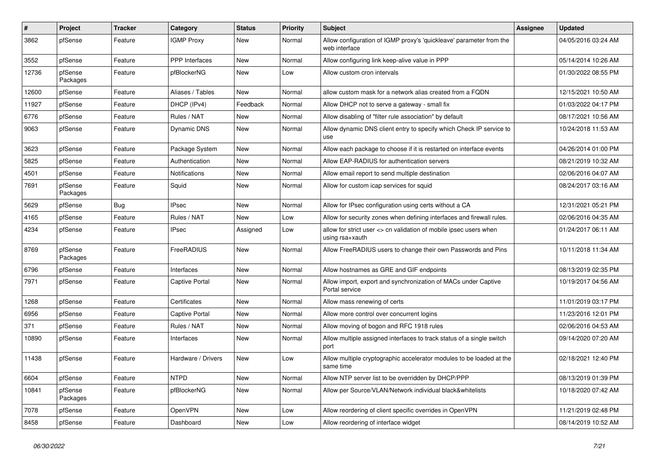| #     | Project             | <b>Tracker</b> | Category              | <b>Status</b> | <b>Priority</b> | Subject                                                                              | <b>Assignee</b> | <b>Updated</b>      |
|-------|---------------------|----------------|-----------------------|---------------|-----------------|--------------------------------------------------------------------------------------|-----------------|---------------------|
| 3862  | pfSense             | Feature        | <b>IGMP Proxy</b>     | New           | Normal          | Allow configuration of IGMP proxy's 'quickleave' parameter from the<br>web interface |                 | 04/05/2016 03:24 AM |
| 3552  | pfSense             | Feature        | <b>PPP</b> Interfaces | New           | Normal          | Allow configuring link keep-alive value in PPP                                       |                 | 05/14/2014 10:26 AM |
| 12736 | pfSense<br>Packages | Feature        | pfBlockerNG           | New           | Low             | Allow custom cron intervals                                                          |                 | 01/30/2022 08:55 PM |
| 12600 | pfSense             | Feature        | Aliases / Tables      | New           | Normal          | allow custom mask for a network alias created from a FQDN                            |                 | 12/15/2021 10:50 AM |
| 11927 | pfSense             | Feature        | DHCP (IPv4)           | Feedback      | Normal          | Allow DHCP not to serve a gateway - small fix                                        |                 | 01/03/2022 04:17 PM |
| 6776  | pfSense             | Feature        | Rules / NAT           | New           | Normal          | Allow disabling of "filter rule association" by default                              |                 | 08/17/2021 10:56 AM |
| 9063  | pfSense             | Feature        | Dynamic DNS           | New           | Normal          | Allow dynamic DNS client entry to specify which Check IP service to<br>use           |                 | 10/24/2018 11:53 AM |
| 3623  | pfSense             | Feature        | Package System        | New           | Normal          | Allow each package to choose if it is restarted on interface events                  |                 | 04/26/2014 01:00 PM |
| 5825  | pfSense             | Feature        | Authentication        | <b>New</b>    | Normal          | Allow EAP-RADIUS for authentication servers                                          |                 | 08/21/2019 10:32 AM |
| 4501  | pfSense             | Feature        | <b>Notifications</b>  | New           | Normal          | Allow email report to send multiple destination                                      |                 | 02/06/2016 04:07 AM |
| 7691  | pfSense<br>Packages | Feature        | Squid                 | New           | Normal          | Allow for custom icap services for squid                                             |                 | 08/24/2017 03:16 AM |
| 5629  | pfSense             | Bug            | <b>IPsec</b>          | New           | Normal          | Allow for IPsec configuration using certs without a CA                               |                 | 12/31/2021 05:21 PM |
| 4165  | pfSense             | Feature        | Rules / NAT           | New           | Low             | Allow for security zones when defining interfaces and firewall rules.                |                 | 02/06/2016 04:35 AM |
| 4234  | pfSense             | Feature        | <b>IPsec</b>          | Assigned      | Low             | allow for strict user <> cn validation of mobile ipsec users when<br>using rsa+xauth |                 | 01/24/2017 06:11 AM |
| 8769  | pfSense<br>Packages | Feature        | FreeRADIUS            | <b>New</b>    | Normal          | Allow FreeRADIUS users to change their own Passwords and Pins                        |                 | 10/11/2018 11:34 AM |
| 6796  | pfSense             | Feature        | Interfaces            | New           | Normal          | Allow hostnames as GRE and GIF endpoints                                             |                 | 08/13/2019 02:35 PM |
| 7971  | pfSense             | Feature        | <b>Captive Portal</b> | New           | Normal          | Allow import, export and synchronization of MACs under Captive<br>Portal service     |                 | 10/19/2017 04:56 AM |
| 1268  | pfSense             | Feature        | Certificates          | New           | Normal          | Allow mass renewing of certs                                                         |                 | 11/01/2019 03:17 PM |
| 6956  | pfSense             | Feature        | <b>Captive Portal</b> | New           | Normal          | Allow more control over concurrent logins                                            |                 | 11/23/2016 12:01 PM |
| 371   | pfSense             | Feature        | Rules / NAT           | New           | Normal          | Allow moving of bogon and RFC 1918 rules                                             |                 | 02/06/2016 04:53 AM |
| 10890 | pfSense             | Feature        | Interfaces            | New           | Normal          | Allow multiple assigned interfaces to track status of a single switch<br>port        |                 | 09/14/2020 07:20 AM |
| 11438 | pfSense             | Feature        | Hardware / Drivers    | New           | Low             | Allow multiple cryptographic accelerator modules to be loaded at the<br>same time    |                 | 02/18/2021 12:40 PM |
| 6604  | pfSense             | Feature        | <b>NTPD</b>           | New           | Normal          | Allow NTP server list to be overridden by DHCP/PPP                                   |                 | 08/13/2019 01:39 PM |
| 10841 | pfSense<br>Packages | Feature        | pfBlockerNG           | New           | Normal          | Allow per Source/VLAN/Network individual black&whitelists                            |                 | 10/18/2020 07:42 AM |
| 7078  | pfSense             | Feature        | OpenVPN               | New           | Low             | Allow reordering of client specific overrides in OpenVPN                             |                 | 11/21/2019 02:48 PM |
| 8458  | pfSense             | Feature        | Dashboard             | New           | Low             | Allow reordering of interface widget                                                 |                 | 08/14/2019 10:52 AM |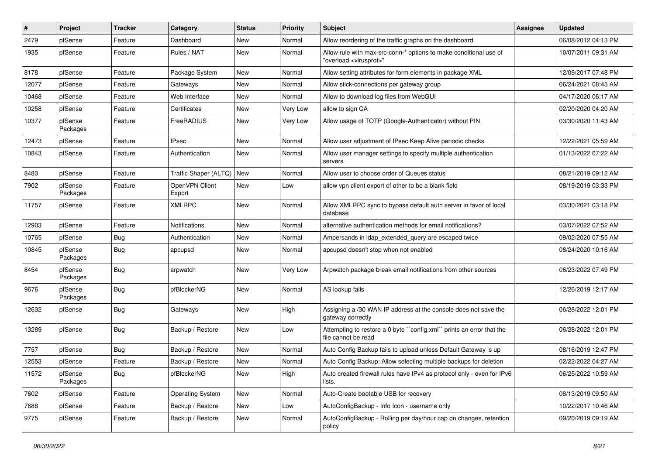| #     | Project             | <b>Tracker</b> | Category                    | <b>Status</b> | <b>Priority</b> | <b>Subject</b>                                                                                          | <b>Assignee</b> | <b>Updated</b>      |
|-------|---------------------|----------------|-----------------------------|---------------|-----------------|---------------------------------------------------------------------------------------------------------|-----------------|---------------------|
| 2479  | pfSense             | Feature        | Dashboard                   | New           | Normal          | Allow reordering of the traffic graphs on the dashboard                                                 |                 | 06/08/2012 04:13 PM |
| 1935  | pfSense             | Feature        | Rules / NAT                 | New           | Normal          | Allow rule with max-src-conn-* options to make conditional use of<br>"overload <virusprot>"</virusprot> |                 | 10/07/2011 09:31 AM |
| 8178  | pfSense             | Feature        | Package System              | New           | Normal          | Allow setting attributes for form elements in package XML                                               |                 | 12/09/2017 07:48 PM |
| 12077 | pfSense             | Feature        | Gateways                    | New           | Normal          | Allow stick-connections per gateway group                                                               |                 | 06/24/2021 08:45 AM |
| 10468 | pfSense             | Feature        | Web Interface               | New           | Normal          | Allow to download log files from WebGUI                                                                 |                 | 04/17/2020 06:17 AM |
| 10258 | pfSense             | Feature        | Certificates                | New           | Very Low        | allow to sign CA                                                                                        |                 | 02/20/2020 04:20 AM |
| 10377 | pfSense<br>Packages | Feature        | FreeRADIUS                  | New           | Very Low        | Allow usage of TOTP (Google-Authenticator) without PIN                                                  |                 | 03/30/2020 11:43 AM |
| 12473 | pfSense             | Feature        | <b>IPsec</b>                | New           | Normal          | Allow user adjustment of IPsec Keep Alive periodic checks                                               |                 | 12/22/2021 05:59 AM |
| 10843 | pfSense             | Feature        | Authentication              | New           | Normal          | Allow user manager settings to specify multiple authentication<br>servers                               |                 | 01/13/2022 07:22 AM |
| 8483  | pfSense             | Feature        | Traffic Shaper (ALTQ)   New |               | Normal          | Allow user to choose order of Queues status                                                             |                 | 08/21/2019 09:12 AM |
| 7902  | pfSense<br>Packages | Feature        | OpenVPN Client<br>Export    | New           | Low             | allow vpn client export of other to be a blank field                                                    |                 | 08/19/2019 03:33 PM |
| 11757 | pfSense             | Feature        | <b>XMLRPC</b>               | New           | Normal          | Allow XMLRPC sync to bypass default auth server in favor of local<br>database                           |                 | 03/30/2021 03:18 PM |
| 12903 | pfSense             | Feature        | <b>Notifications</b>        | New           | Normal          | alternative authentication methods for email notifications?                                             |                 | 03/07/2022 07:52 AM |
| 10765 | pfSense             | <b>Bug</b>     | Authentication              | <b>New</b>    | Normal          | Ampersands in Idap extended query are escaped twice                                                     |                 | 09/02/2020 07:55 AM |
| 10845 | pfSense<br>Packages | Bug            | apcupsd                     | New           | Normal          | apcupsd doesn't stop when not enabled                                                                   |                 | 08/24/2020 10:16 AM |
| 8454  | pfSense<br>Packages | Bug            | arpwatch                    | New           | Very Low        | Arpwatch package break email notifications from other sources                                           |                 | 06/23/2022 07:49 PM |
| 9676  | pfSense<br>Packages | Bug            | pfBlockerNG                 | New           | Normal          | AS lookup fails                                                                                         |                 | 12/26/2019 12:17 AM |
| 12632 | pfSense             | <b>Bug</b>     | Gateways                    | New           | High            | Assigning a /30 WAN IP address at the console does not save the<br>gateway correctly                    |                 | 06/28/2022 12:01 PM |
| 13289 | pfSense             | Bug            | Backup / Restore            | New           | Low             | Attempting to restore a 0 byte "config.xml" prints an error that the<br>file cannot be read             |                 | 06/28/2022 12:01 PM |
| 7757  | pfSense             | Bug            | Backup / Restore            | New           | Normal          | Auto Config Backup fails to upload unless Default Gateway is up                                         |                 | 08/16/2019 12:47 PM |
| 12553 | pfSense             | Feature        | Backup / Restore            | New           | Normal          | Auto Config Backup: Allow selecting multiple backups for deletion                                       |                 | 02/22/2022 04:27 AM |
| 11572 | pfSense<br>Packages | <b>Bug</b>     | pfBlockerNG                 | New           | High            | Auto created firewall rules have IPv4 as protocol only - even for IPv6<br>lists.                        |                 | 06/25/2022 10:59 AM |
| 7602  | pfSense             | Feature        | <b>Operating System</b>     | New           | Normal          | Auto-Create bootable USB for recovery                                                                   |                 | 08/13/2019 09:50 AM |
| 7688  | pfSense             | Feature        | Backup / Restore            | New           | Low             | AutoConfigBackup - Info Icon - username only                                                            |                 | 10/22/2017 10:46 AM |
| 9775  | pfSense             | Feature        | Backup / Restore            | New           | Normal          | AutoConfigBackup - Rolling per day/hour cap on changes, retention<br>policy                             |                 | 09/20/2019 09:19 AM |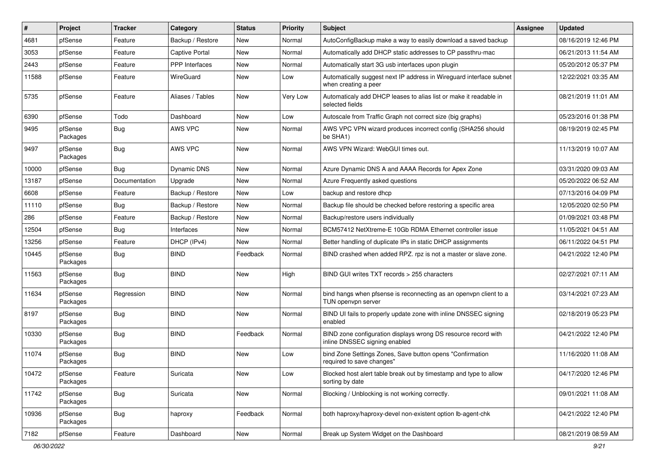| $\vert$ # | Project             | <b>Tracker</b> | Category              | <b>Status</b> | <b>Priority</b> | <b>Subject</b>                                                                                  | Assignee | <b>Updated</b>      |
|-----------|---------------------|----------------|-----------------------|---------------|-----------------|-------------------------------------------------------------------------------------------------|----------|---------------------|
| 4681      | pfSense             | Feature        | Backup / Restore      | New           | Normal          | AutoConfigBackup make a way to easily download a saved backup                                   |          | 08/16/2019 12:46 PM |
| 3053      | pfSense             | Feature        | <b>Captive Portal</b> | <b>New</b>    | Normal          | Automatically add DHCP static addresses to CP passthru-mac                                      |          | 06/21/2013 11:54 AM |
| 2443      | pfSense             | Feature        | <b>PPP</b> Interfaces | New           | Normal          | Automatically start 3G usb interfaces upon plugin                                               |          | 05/20/2012 05:37 PM |
| 11588     | pfSense             | Feature        | WireGuard             | New           | Low             | Automatically suggest next IP address in Wireguard interface subnet<br>when creating a peer     |          | 12/22/2021 03:35 AM |
| 5735      | pfSense             | Feature        | Aliases / Tables      | <b>New</b>    | Very Low        | Automaticaly add DHCP leases to alias list or make it readable in<br>selected fields            |          | 08/21/2019 11:01 AM |
| 6390      | pfSense             | Todo           | Dashboard             | <b>New</b>    | Low             | Autoscale from Traffic Graph not correct size (big graphs)                                      |          | 05/23/2016 01:38 PM |
| 9495      | pfSense<br>Packages | Bug            | AWS VPC               | New           | Normal          | AWS VPC VPN wizard produces incorrect config (SHA256 should<br>be SHA1)                         |          | 08/19/2019 02:45 PM |
| 9497      | pfSense<br>Packages | Bug            | AWS VPC               | New           | Normal          | AWS VPN Wizard: WebGUI times out.                                                               |          | 11/13/2019 10:07 AM |
| 10000     | pfSense             | Bug            | <b>Dynamic DNS</b>    | <b>New</b>    | Normal          | Azure Dynamic DNS A and AAAA Records for Apex Zone                                              |          | 03/31/2020 09:03 AM |
| 13187     | pfSense             | Documentation  | Upgrade               | New           | Normal          | Azure Frequently asked questions                                                                |          | 05/20/2022 06:52 AM |
| 6608      | pfSense             | Feature        | Backup / Restore      | New           | Low             | backup and restore dhcp                                                                         |          | 07/13/2016 04:09 PM |
| 11110     | pfSense             | Bug            | Backup / Restore      | <b>New</b>    | Normal          | Backup file should be checked before restoring a specific area                                  |          | 12/05/2020 02:50 PM |
| 286       | pfSense             | Feature        | Backup / Restore      | New           | Normal          | Backup/restore users individually                                                               |          | 01/09/2021 03:48 PM |
| 12504     | pfSense             | Bug            | Interfaces            | <b>New</b>    | Normal          | BCM57412 NetXtreme-E 10Gb RDMA Ethernet controller issue                                        |          | 11/05/2021 04:51 AM |
| 13256     | pfSense             | Feature        | DHCP (IPv4)           | New           | Normal          | Better handling of duplicate IPs in static DHCP assignments                                     |          | 06/11/2022 04:51 PM |
| 10445     | pfSense<br>Packages | Bug            | <b>BIND</b>           | Feedback      | Normal          | BIND crashed when added RPZ. rpz is not a master or slave zone.                                 |          | 04/21/2022 12:40 PM |
| 11563     | pfSense<br>Packages | Bug            | <b>BIND</b>           | New           | High            | BIND GUI writes TXT records > 255 characters                                                    |          | 02/27/2021 07:11 AM |
| 11634     | pfSense<br>Packages | Regression     | <b>BIND</b>           | New           | Normal          | bind hangs when pfsense is reconnecting as an openvpn client to a<br>TUN openypn server         |          | 03/14/2021 07:23 AM |
| 8197      | pfSense<br>Packages | Bug            | <b>BIND</b>           | New           | Normal          | BIND UI fails to properly update zone with inline DNSSEC signing<br>enabled                     |          | 02/18/2019 05:23 PM |
| 10330     | pfSense<br>Packages | Bug            | <b>BIND</b>           | Feedback      | Normal          | BIND zone configuration displays wrong DS resource record with<br>inline DNSSEC signing enabled |          | 04/21/2022 12:40 PM |
| 11074     | pfSense<br>Packages | Bug            | <b>BIND</b>           | New           | Low             | bind Zone Settings Zones, Save button opens "Confirmation<br>required to save changes"          |          | 11/16/2020 11:08 AM |
| 10472     | pfSense<br>Packages | Feature        | Suricata              | New           | Low             | Blocked host alert table break out by timestamp and type to allow<br>sorting by date            |          | 04/17/2020 12:46 PM |
| 11742     | pfSense<br>Packages | Bug            | Suricata              | New           | Normal          | Blocking / Unblocking is not working correctly.                                                 |          | 09/01/2021 11:08 AM |
| 10936     | pfSense<br>Packages | Bug            | haproxy               | Feedback      | Normal          | both haproxy/haproxy-devel non-existent option Ib-agent-chk                                     |          | 04/21/2022 12:40 PM |
| 7182      | pfSense             | Feature        | Dashboard             | New           | Normal          | Break up System Widget on the Dashboard                                                         |          | 08/21/2019 08:59 AM |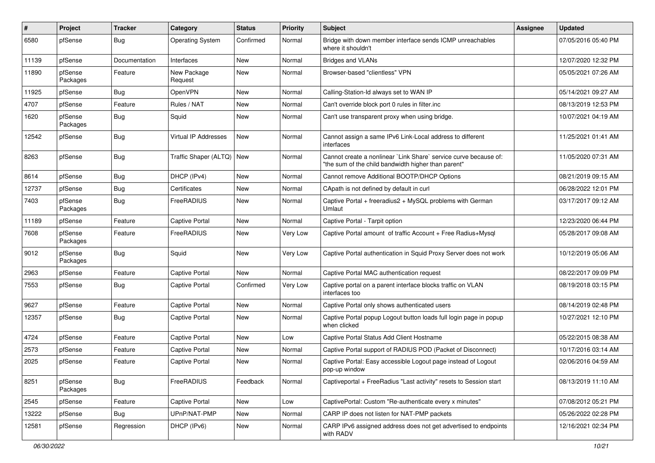| $\vert$ # | Project             | <b>Tracker</b> | Category                | <b>Status</b> | <b>Priority</b> | Subject                                                                                                                 | Assignee | <b>Updated</b>      |
|-----------|---------------------|----------------|-------------------------|---------------|-----------------|-------------------------------------------------------------------------------------------------------------------------|----------|---------------------|
| 6580      | pfSense             | <b>Bug</b>     | <b>Operating System</b> | Confirmed     | Normal          | Bridge with down member interface sends ICMP unreachables<br>where it shouldn't                                         |          | 07/05/2016 05:40 PM |
| 11139     | pfSense             | Documentation  | Interfaces              | New           | Normal          | <b>Bridges and VLANs</b>                                                                                                |          | 12/07/2020 12:32 PM |
| 11890     | pfSense<br>Packages | Feature        | New Package<br>Request  | New           | Normal          | Browser-based "clientless" VPN                                                                                          |          | 05/05/2021 07:26 AM |
| 11925     | pfSense             | Bug            | OpenVPN                 | New           | Normal          | Calling-Station-Id always set to WAN IP                                                                                 |          | 05/14/2021 09:27 AM |
| 4707      | pfSense             | Feature        | Rules / NAT             | New           | Normal          | Can't override block port 0 rules in filter.inc                                                                         |          | 08/13/2019 12:53 PM |
| 1620      | pfSense<br>Packages | <b>Bug</b>     | Squid                   | New           | Normal          | Can't use transparent proxy when using bridge.                                                                          |          | 10/07/2021 04:19 AM |
| 12542     | pfSense             | Bug            | Virtual IP Addresses    | New           | Normal          | Cannot assign a same IPv6 Link-Local address to different<br>interfaces                                                 |          | 11/25/2021 01:41 AM |
| 8263      | pfSense             | Bug            | Traffic Shaper (ALTQ)   | New           | Normal          | Cannot create a nonlinear `Link Share` service curve because of:<br>"the sum of the child bandwidth higher than parent" |          | 11/05/2020 07:31 AM |
| 8614      | pfSense             | <b>Bug</b>     | DHCP (IPv4)             | New           | Normal          | Cannot remove Additional BOOTP/DHCP Options                                                                             |          | 08/21/2019 09:15 AM |
| 12737     | pfSense             | <b>Bug</b>     | Certificates            | New           | Normal          | CApath is not defined by default in curl                                                                                |          | 06/28/2022 12:01 PM |
| 7403      | pfSense<br>Packages | Bug            | FreeRADIUS              | New           | Normal          | Captive Portal + freeradius2 + MySQL problems with German<br>Umlaut                                                     |          | 03/17/2017 09:12 AM |
| 11189     | pfSense             | Feature        | <b>Captive Portal</b>   | New           | Normal          | Captive Portal - Tarpit option                                                                                          |          | 12/23/2020 06:44 PM |
| 7608      | pfSense<br>Packages | Feature        | FreeRADIUS              | New           | Very Low        | Captive Portal amount of traffic Account + Free Radius+Mysql                                                            |          | 05/28/2017 09:08 AM |
| 9012      | pfSense<br>Packages | Bug            | Squid                   | New           | Very Low        | Captive Portal authentication in Squid Proxy Server does not work                                                       |          | 10/12/2019 05:06 AM |
| 2963      | pfSense             | Feature        | Captive Portal          | New           | Normal          | Captive Portal MAC authentication request                                                                               |          | 08/22/2017 09:09 PM |
| 7553      | pfSense             | <b>Bug</b>     | <b>Captive Portal</b>   | Confirmed     | Very Low        | Captive portal on a parent interface blocks traffic on VLAN<br>interfaces too                                           |          | 08/19/2018 03:15 PM |
| 9627      | pfSense             | Feature        | Captive Portal          | New           | Normal          | Captive Portal only shows authenticated users                                                                           |          | 08/14/2019 02:48 PM |
| 12357     | pfSense             | <b>Bug</b>     | <b>Captive Portal</b>   | New           | Normal          | Captive Portal popup Logout button loads full login page in popup<br>when clicked                                       |          | 10/27/2021 12:10 PM |
| 4724      | pfSense             | Feature        | <b>Captive Portal</b>   | New           | Low             | Captive Portal Status Add Client Hostname                                                                               |          | 05/22/2015 08:38 AM |
| 2573      | pfSense             | Feature        | <b>Captive Portal</b>   | New           | Normal          | Captive Portal support of RADIUS POD (Packet of Disconnect)                                                             |          | 10/17/2016 03:14 AM |
| 2025      | pfSense             | Feature        | <b>Captive Portal</b>   | New           | Normal          | Captive Portal: Easy accessible Logout page instead of Logout<br>pop-up window                                          |          | 02/06/2016 04:59 AM |
| 8251      | pfSense<br>Packages | Bug            | FreeRADIUS              | Feedback      | Normal          | Captiveportal + FreeRadius "Last activity" resets to Session start                                                      |          | 08/13/2019 11:10 AM |
| 2545      | pfSense             | Feature        | Captive Portal          | New           | Low             | CaptivePortal: Custom "Re-authenticate every x minutes"                                                                 |          | 07/08/2012 05:21 PM |
| 13222     | pfSense             | <b>Bug</b>     | UPnP/NAT-PMP            | New           | Normal          | CARP IP does not listen for NAT-PMP packets                                                                             |          | 05/26/2022 02:28 PM |
| 12581     | pfSense             | Regression     | DHCP (IPv6)             | New           | Normal          | CARP IPv6 assigned address does not get advertised to endpoints<br>with RADV                                            |          | 12/16/2021 02:34 PM |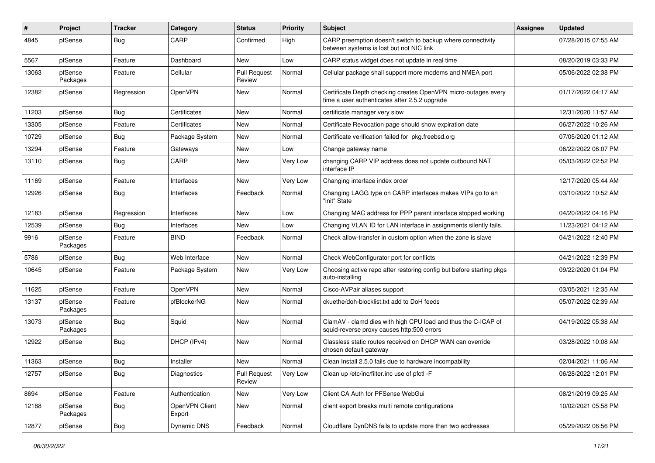| ∦     | Project             | <b>Tracker</b> | Category                 | <b>Status</b>                 | <b>Priority</b> | <b>Subject</b>                                                                                                  | <b>Assignee</b> | <b>Updated</b>      |
|-------|---------------------|----------------|--------------------------|-------------------------------|-----------------|-----------------------------------------------------------------------------------------------------------------|-----------------|---------------------|
| 4845  | pfSense             | <b>Bug</b>     | CARP                     | Confirmed                     | High            | CARP preemption doesn't switch to backup where connectivity<br>between systems is lost but not NIC link         |                 | 07/28/2015 07:55 AM |
| 5567  | pfSense             | Feature        | Dashboard                | New                           | Low             | CARP status widget does not update in real time                                                                 |                 | 08/20/2019 03:33 PM |
| 13063 | pfSense<br>Packages | Feature        | Cellular                 | <b>Pull Request</b><br>Review | Normal          | Cellular package shall support more modems and NMEA port                                                        |                 | 05/06/2022 02:38 PM |
| 12382 | pfSense             | Regression     | OpenVPN                  | New                           | Normal          | Certificate Depth checking creates OpenVPN micro-outages every<br>time a user authenticates after 2.5.2 upgrade |                 | 01/17/2022 04:17 AM |
| 11203 | pfSense             | Bug            | Certificates             | <b>New</b>                    | Normal          | certificate manager very slow                                                                                   |                 | 12/31/2020 11:57 AM |
| 13305 | pfSense             | Feature        | Certificates             | New                           | Normal          | Certificate Revocation page should show expiration date                                                         |                 | 06/27/2022 10:26 AM |
| 10729 | pfSense             | <b>Bug</b>     | Package System           | New                           | Normal          | Certificate verification failed for pkg.freebsd.org                                                             |                 | 07/05/2020 01:12 AM |
| 13294 | pfSense             | Feature        | Gateways                 | New                           | Low             | Change gateway name                                                                                             |                 | 06/22/2022 06:07 PM |
| 13110 | pfSense             | Bug            | CARP                     | New                           | Very Low        | changing CARP VIP address does not update outbound NAT<br>interface IP                                          |                 | 05/03/2022 02:52 PM |
| 11169 | pfSense             | Feature        | Interfaces               | New                           | Very Low        | Changing interface index order                                                                                  |                 | 12/17/2020 05:44 AM |
| 12926 | pfSense             | Bug            | Interfaces               | Feedback                      | Normal          | Changing LAGG type on CARP interfaces makes VIPs go to an<br>"init" State                                       |                 | 03/10/2022 10:52 AM |
| 12183 | pfSense             | Regression     | Interfaces               | New                           | Low             | Changing MAC address for PPP parent interface stopped working                                                   |                 | 04/20/2022 04:16 PM |
| 12539 | pfSense             | <b>Bug</b>     | Interfaces               | New                           | Low             | Changing VLAN ID for LAN interface in assignments silently fails.                                               |                 | 11/23/2021 04:12 AM |
| 9916  | pfSense<br>Packages | Feature        | <b>BIND</b>              | Feedback                      | Normal          | Check allow-transfer in custom option when the zone is slave                                                    |                 | 04/21/2022 12:40 PM |
| 5786  | pfSense             | Bug            | Web Interface            | New                           | Normal          | Check WebConfigurator port for conflicts                                                                        |                 | 04/21/2022 12:39 PM |
| 10645 | pfSense             | Feature        | Package System           | New                           | Very Low        | Choosing active repo after restoring config but before starting pkgs<br>auto-installing                         |                 | 09/22/2020 01:04 PM |
| 11625 | pfSense             | Feature        | OpenVPN                  | <b>New</b>                    | Normal          | Cisco-AVPair aliases support                                                                                    |                 | 03/05/2021 12:35 AM |
| 13137 | pfSense<br>Packages | Feature        | pfBlockerNG              | New                           | Normal          | ckuethe/doh-blocklist.txt add to DoH feeds                                                                      |                 | 05/07/2022 02:39 AM |
| 13073 | pfSense<br>Packages | <b>Bug</b>     | Squid                    | <b>New</b>                    | Normal          | ClamAV - clamd dies with high CPU load and thus the C-ICAP of<br>squid-reverse proxy causes http:500 errors     |                 | 04/19/2022 05:38 AM |
| 12922 | pfSense             | Bug            | DHCP (IPv4)              | <b>New</b>                    | Normal          | Classless static routes received on DHCP WAN can override<br>chosen default gateway                             |                 | 03/28/2022 10:08 AM |
| 11363 | pfSense             | <b>Bug</b>     | Installer                | <b>New</b>                    | Normal          | Clean Install 2.5.0 fails due to hardware incompability                                                         |                 | 02/04/2021 11:06 AM |
| 12757 | pfSense             | Bug            | Diagnostics              | <b>Pull Request</b><br>Review | Very Low        | Clean up /etc/inc/filter.inc use of pfctl -F                                                                    |                 | 06/28/2022 12:01 PM |
| 8694  | pfSense             | Feature        | Authentication           | New                           | Very Low        | Client CA Auth for PFSense WebGui                                                                               |                 | 08/21/2019 09:25 AM |
| 12188 | pfSense<br>Packages | <b>Bug</b>     | OpenVPN Client<br>Export | New                           | Normal          | client export breaks multi remote configurations                                                                |                 | 10/02/2021 05:58 PM |
| 12877 | pfSense             | Bug            | Dynamic DNS              | Feedback                      | Normal          | Cloudflare DynDNS fails to update more than two addresses                                                       |                 | 05/29/2022 06:56 PM |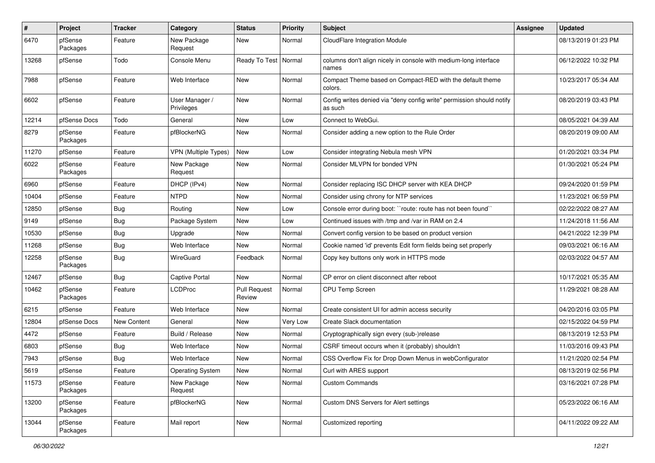| $\sharp$ | <b>Project</b>      | <b>Tracker</b> | Category                     | <b>Status</b>                 | <b>Priority</b> | <b>Subject</b>                                                                   | Assignee | <b>Updated</b>      |
|----------|---------------------|----------------|------------------------------|-------------------------------|-----------------|----------------------------------------------------------------------------------|----------|---------------------|
| 6470     | pfSense<br>Packages | Feature        | New Package<br>Request       | New                           | Normal          | CloudFlare Integration Module                                                    |          | 08/13/2019 01:23 PM |
| 13268    | pfSense             | Todo           | Console Menu                 | Ready To Test   Normal        |                 | columns don't align nicely in console with medium-long interface<br>names        |          | 06/12/2022 10:32 PM |
| 7988     | pfSense             | Feature        | Web Interface                | New                           | Normal          | Compact Theme based on Compact-RED with the default theme<br>colors.             |          | 10/23/2017 05:34 AM |
| 6602     | pfSense             | Feature        | User Manager /<br>Privileges | New                           | Normal          | Config writes denied via "deny config write" permission should notify<br>as such |          | 08/20/2019 03:43 PM |
| 12214    | pfSense Docs        | Todo           | General                      | New                           | Low             | Connect to WebGui.                                                               |          | 08/05/2021 04:39 AM |
| 8279     | pfSense<br>Packages | Feature        | pfBlockerNG                  | New                           | Normal          | Consider adding a new option to the Rule Order                                   |          | 08/20/2019 09:00 AM |
| 11270    | pfSense             | Feature        | <b>VPN (Multiple Types)</b>  | New                           | Low             | Consider integrating Nebula mesh VPN                                             |          | 01/20/2021 03:34 PM |
| 6022     | pfSense<br>Packages | Feature        | New Package<br>Request       | New                           | Normal          | Consider MLVPN for bonded VPN                                                    |          | 01/30/2021 05:24 PM |
| 6960     | pfSense             | Feature        | DHCP (IPv4)                  | New                           | Normal          | Consider replacing ISC DHCP server with KEA DHCP                                 |          | 09/24/2020 01:59 PM |
| 10404    | pfSense             | Feature        | <b>NTPD</b>                  | New                           | Normal          | Consider using chrony for NTP services                                           |          | 11/23/2021 06:59 PM |
| 12850    | pfSense             | Bug            | Routing                      | New                           | Low             | Console error during boot: "route: route has not been found"                     |          | 02/22/2022 08:27 AM |
| 9149     | pfSense             | <b>Bug</b>     | Package System               | New                           | Low             | Continued issues with /tmp and /var in RAM on 2.4                                |          | 11/24/2018 11:56 AM |
| 10530    | pfSense             | Bug            | Upgrade                      | New                           | Normal          | Convert config version to be based on product version                            |          | 04/21/2022 12:39 PM |
| 11268    | pfSense             | <b>Bug</b>     | Web Interface                | New                           | Normal          | Cookie named 'id' prevents Edit form fields being set properly                   |          | 09/03/2021 06:16 AM |
| 12258    | pfSense<br>Packages | Bug            | WireGuard                    | Feedback                      | Normal          | Copy key buttons only work in HTTPS mode                                         |          | 02/03/2022 04:57 AM |
| 12467    | pfSense             | Bug            | <b>Captive Portal</b>        | New                           | Normal          | CP error on client disconnect after reboot                                       |          | 10/17/2021 05:35 AM |
| 10462    | pfSense<br>Packages | Feature        | <b>LCDProc</b>               | <b>Pull Request</b><br>Review | Normal          | <b>CPU Temp Screen</b>                                                           |          | 11/29/2021 08:28 AM |
| 6215     | pfSense             | Feature        | Web Interface                | New                           | Normal          | Create consistent UI for admin access security                                   |          | 04/20/2016 03:05 PM |
| 12804    | pfSense Docs        | New Content    | General                      | New                           | Very Low        | Create Slack documentation                                                       |          | 02/15/2022 04:59 PM |
| 4472     | pfSense             | Feature        | Build / Release              | New                           | Normal          | Cryptographically sign every (sub-)release                                       |          | 08/13/2019 12:53 PM |
| 6803     | pfSense             | Bug            | Web Interface                | New                           | Normal          | CSRF timeout occurs when it (probably) shouldn't                                 |          | 11/03/2016 09:43 PM |
| 7943     | pfSense             | Bug            | Web Interface                | New                           | Normal          | CSS Overflow Fix for Drop Down Menus in webConfigurator                          |          | 11/21/2020 02:54 PM |
| 5619     | pfSense             | Feature        | <b>Operating System</b>      | New                           | Normal          | Curl with ARES support                                                           |          | 08/13/2019 02:56 PM |
| 11573    | pfSense<br>Packages | Feature        | New Package<br>Request       | New                           | Normal          | <b>Custom Commands</b>                                                           |          | 03/16/2021 07:28 PM |
| 13200    | pfSense<br>Packages | Feature        | pfBlockerNG                  | New                           | Normal          | Custom DNS Servers for Alert settings                                            |          | 05/23/2022 06:16 AM |
| 13044    | pfSense<br>Packages | Feature        | Mail report                  | New                           | Normal          | Customized reporting                                                             |          | 04/11/2022 09:22 AM |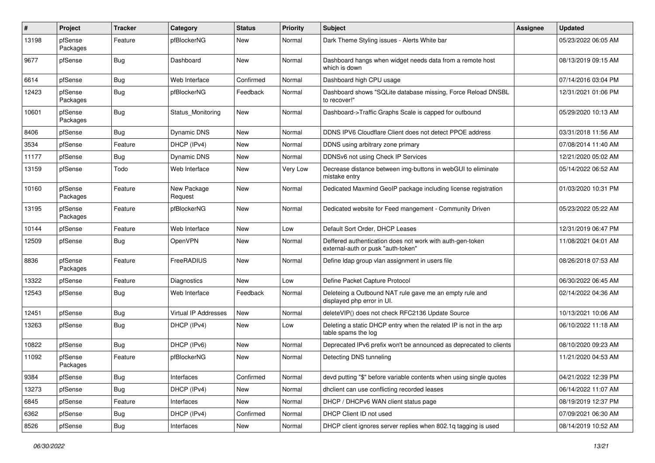| #     | Project             | <b>Tracker</b> | Category                    | <b>Status</b> | <b>Priority</b> | <b>Subject</b>                                                                                  | <b>Assignee</b> | <b>Updated</b>      |
|-------|---------------------|----------------|-----------------------------|---------------|-----------------|-------------------------------------------------------------------------------------------------|-----------------|---------------------|
| 13198 | pfSense<br>Packages | Feature        | pfBlockerNG                 | New           | Normal          | Dark Theme Styling issues - Alerts White bar                                                    |                 | 05/23/2022 06:05 AM |
| 9677  | pfSense             | Bug            | Dashboard                   | New           | Normal          | Dashboard hangs when widget needs data from a remote host<br>which is down                      |                 | 08/13/2019 09:15 AM |
| 6614  | pfSense             | Bug            | Web Interface               | Confirmed     | Normal          | Dashboard high CPU usage                                                                        |                 | 07/14/2016 03:04 PM |
| 12423 | pfSense<br>Packages | Bug            | pfBlockerNG                 | Feedback      | Normal          | Dashboard shows "SQLite database missing, Force Reload DNSBL<br>to recover!"                    |                 | 12/31/2021 01:06 PM |
| 10601 | pfSense<br>Packages | Bug            | Status Monitoring           | New           | Normal          | Dashboard->Traffic Graphs Scale is capped for outbound                                          |                 | 05/29/2020 10:13 AM |
| 8406  | pfSense             | <b>Bug</b>     | Dynamic DNS                 | <b>New</b>    | Normal          | DDNS IPV6 Cloudflare Client does not detect PPOE address                                        |                 | 03/31/2018 11:56 AM |
| 3534  | pfSense             | Feature        | DHCP (IPv4)                 | New           | Normal          | DDNS using arbitrary zone primary                                                               |                 | 07/08/2014 11:40 AM |
| 11177 | pfSense             | <b>Bug</b>     | <b>Dynamic DNS</b>          | New           | Normal          | DDNSv6 not using Check IP Services                                                              |                 | 12/21/2020 05:02 AM |
| 13159 | pfSense             | Todo           | Web Interface               | New           | Very Low        | Decrease distance between img-buttons in webGUI to eliminate<br>mistake entry                   |                 | 05/14/2022 06:52 AM |
| 10160 | pfSense<br>Packages | Feature        | New Package<br>Request      | New           | Normal          | Dedicated Maxmind GeoIP package including license registration                                  |                 | 01/03/2020 10:31 PM |
| 13195 | pfSense<br>Packages | Feature        | pfBlockerNG                 | New           | Normal          | Dedicated website for Feed mangement - Community Driven                                         |                 | 05/23/2022 05:22 AM |
| 10144 | pfSense             | Feature        | Web Interface               | New           | Low             | Default Sort Order, DHCP Leases                                                                 |                 | 12/31/2019 06:47 PM |
| 12509 | pfSense             | <b>Bug</b>     | OpenVPN                     | New           | Normal          | Deffered authentication does not work with auth-gen-token<br>external-auth or pusk "auth-token" |                 | 11/08/2021 04:01 AM |
| 8836  | pfSense<br>Packages | Feature        | FreeRADIUS                  | New           | Normal          | Define Idap group vlan assignment in users file                                                 |                 | 08/26/2018 07:53 AM |
| 13322 | pfSense             | Feature        | Diagnostics                 | New           | Low             | Define Packet Capture Protocol                                                                  |                 | 06/30/2022 06:45 AM |
| 12543 | pfSense             | Bug            | Web Interface               | Feedback      | Normal          | Deleteing a Outbound NAT rule gave me an empty rule and<br>displayed php error in UI.           |                 | 02/14/2022 04:36 AM |
| 12451 | pfSense             | Bug            | <b>Virtual IP Addresses</b> | New           | Normal          | deleteVIP() does not check RFC2136 Update Source                                                |                 | 10/13/2021 10:06 AM |
| 13263 | pfSense             | <b>Bug</b>     | DHCP (IPv4)                 | New           | Low             | Deleting a static DHCP entry when the related IP is not in the arp<br>table spams the log       |                 | 06/10/2022 11:18 AM |
| 10822 | pfSense             | Bug            | DHCP (IPv6)                 | New           | Normal          | Deprecated IPv6 prefix won't be announced as deprecated to clients                              |                 | 08/10/2020 09:23 AM |
| 11092 | pfSense<br>Packages | Feature        | pfBlockerNG                 | New           | Normal          | Detecting DNS tunneling                                                                         |                 | 11/21/2020 04:53 AM |
| 9384  | pfSense             | <b>Bug</b>     | Interfaces                  | Confirmed     | Normal          | devd putting "\$" before variable contents when using single quotes                             |                 | 04/21/2022 12:39 PM |
| 13273 | pfSense             | <b>Bug</b>     | DHCP (IPv4)                 | New           | Normal          | dhclient can use conflicting recorded leases                                                    |                 | 06/14/2022 11:07 AM |
| 6845  | pfSense             | Feature        | Interfaces                  | New           | Normal          | DHCP / DHCPv6 WAN client status page                                                            |                 | 08/19/2019 12:37 PM |
| 6362  | pfSense             | <b>Bug</b>     | DHCP (IPv4)                 | Confirmed     | Normal          | DHCP Client ID not used                                                                         |                 | 07/09/2021 06:30 AM |
| 8526  | pfSense             | <b>Bug</b>     | Interfaces                  | New           | Normal          | DHCP client ignores server replies when 802.1q tagging is used                                  |                 | 08/14/2019 10:52 AM |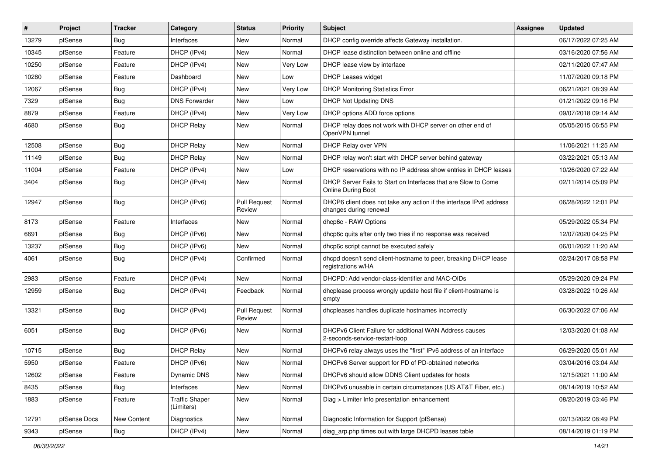| ∦     | Project      | <b>Tracker</b>   | Category                            | <b>Status</b>                 | <b>Priority</b> | <b>Subject</b>                                                                                | <b>Assignee</b> | <b>Updated</b>      |
|-------|--------------|------------------|-------------------------------------|-------------------------------|-----------------|-----------------------------------------------------------------------------------------------|-----------------|---------------------|
| 13279 | pfSense      | Bug              | Interfaces                          | New                           | Normal          | DHCP config override affects Gateway installation.                                            |                 | 06/17/2022 07:25 AM |
| 10345 | pfSense      | Feature          | DHCP (IPv4)                         | New                           | Normal          | DHCP lease distinction between online and offline                                             |                 | 03/16/2020 07:56 AM |
| 10250 | pfSense      | Feature          | DHCP (IPv4)                         | New                           | Very Low        | DHCP lease view by interface                                                                  |                 | 02/11/2020 07:47 AM |
| 10280 | pfSense      | Feature          | Dashboard                           | New                           | Low             | DHCP Leases widget                                                                            |                 | 11/07/2020 09:18 PM |
| 12067 | pfSense      | <b>Bug</b>       | DHCP (IPv4)                         | New                           | Very Low        | <b>DHCP Monitoring Statistics Error</b>                                                       |                 | 06/21/2021 08:39 AM |
| 7329  | pfSense      | Bug              | <b>DNS Forwarder</b>                | New                           | Low             | DHCP Not Updating DNS                                                                         |                 | 01/21/2022 09:16 PM |
| 8879  | pfSense      | Feature          | DHCP (IPv4)                         | New                           | Very Low        | DHCP options ADD force options                                                                |                 | 09/07/2018 09:14 AM |
| 4680  | pfSense      | Bug              | <b>DHCP Relay</b>                   | New                           | Normal          | DHCP relay does not work with DHCP server on other end of<br>OpenVPN tunnel                   |                 | 05/05/2015 06:55 PM |
| 12508 | pfSense      | Bug              | <b>DHCP Relay</b>                   | New                           | Normal          | DHCP Relay over VPN                                                                           |                 | 11/06/2021 11:25 AM |
| 11149 | pfSense      | Bug              | <b>DHCP Relay</b>                   | New                           | Normal          | DHCP relay won't start with DHCP server behind gateway                                        |                 | 03/22/2021 05:13 AM |
| 11004 | pfSense      | Feature          | DHCP (IPv4)                         | New                           | Low             | DHCP reservations with no IP address show entries in DHCP leases                              |                 | 10/26/2020 07:22 AM |
| 3404  | pfSense      | Bug              | DHCP (IPv4)                         | New                           | Normal          | DHCP Server Fails to Start on Interfaces that are Slow to Come<br>Online During Boot          |                 | 02/11/2014 05:09 PM |
| 12947 | pfSense      | Bug              | DHCP (IPv6)                         | <b>Pull Request</b><br>Review | Normal          | DHCP6 client does not take any action if the interface IPv6 address<br>changes during renewal |                 | 06/28/2022 12:01 PM |
| 8173  | pfSense      | Feature          | Interfaces                          | New                           | Normal          | dhcp6c - RAW Options                                                                          |                 | 05/29/2022 05:34 PM |
| 6691  | pfSense      | Bug              | DHCP (IPv6)                         | New                           | Normal          | dhcp6c quits after only two tries if no response was received                                 |                 | 12/07/2020 04:25 PM |
| 13237 | pfSense      | <b>Bug</b>       | DHCP (IPv6)                         | New                           | Normal          | dhcp6c script cannot be executed safely                                                       |                 | 06/01/2022 11:20 AM |
| 4061  | pfSense      | Bug              | DHCP (IPv4)                         | Confirmed                     | Normal          | dhcpd doesn't send client-hostname to peer, breaking DHCP lease<br>registrations w/HA         |                 | 02/24/2017 08:58 PM |
| 2983  | pfSense      | Feature          | DHCP (IPv4)                         | New                           | Normal          | DHCPD: Add vendor-class-identifier and MAC-OIDs                                               |                 | 05/29/2020 09:24 PM |
| 12959 | pfSense      | Bug              | DHCP (IPv4)                         | Feedback                      | Normal          | dhoplease process wrongly update host file if client-hostname is<br>empty                     |                 | 03/28/2022 10:26 AM |
| 13321 | pfSense      | <b>Bug</b>       | DHCP (IPv4)                         | <b>Pull Request</b><br>Review | Normal          | dhcpleases handles duplicate hostnames incorrectly                                            |                 | 06/30/2022 07:06 AM |
| 6051  | pfSense      | Bug              | DHCP (IPv6)                         | New                           | Normal          | DHCPv6 Client Failure for additional WAN Address causes<br>2-seconds-service-restart-loop     |                 | 12/03/2020 01:08 AM |
| 10715 | pfSense      | Bug              | <b>DHCP Relay</b>                   | <b>New</b>                    | Normal          | DHCPv6 relay always uses the "first" IPv6 address of an interface                             |                 | 06/29/2020 05:01 AM |
| 5950  | pfSense      | Feature          | DHCP (IPv6)                         | New                           | Normal          | DHCPv6 Server support for PD of PD-obtained networks                                          |                 | 03/04/2016 03:04 AM |
| 12602 | pfSense      | Feature          | Dynamic DNS                         | New                           | Normal          | DHCPv6 should allow DDNS Client updates for hosts                                             |                 | 12/15/2021 11:00 AM |
| 8435  | pfSense      | <b>Bug</b>       | Interfaces                          | New                           | Normal          | DHCPv6 unusable in certain circumstances (US AT&T Fiber, etc.)                                |                 | 08/14/2019 10:52 AM |
| 1883  | pfSense      | Feature          | <b>Traffic Shaper</b><br>(Limiters) | New                           | Normal          | Diag > Limiter Info presentation enhancement                                                  |                 | 08/20/2019 03:46 PM |
| 12791 | pfSense Docs | New Content      | Diagnostics                         | New                           | Normal          | Diagnostic Information for Support (pfSense)                                                  |                 | 02/13/2022 08:49 PM |
| 9343  | pfSense      | <sub>i</sub> Bug | DHCP (IPv4)                         | New                           | Normal          | diag_arp.php times out with large DHCPD leases table                                          |                 | 08/14/2019 01:19 PM |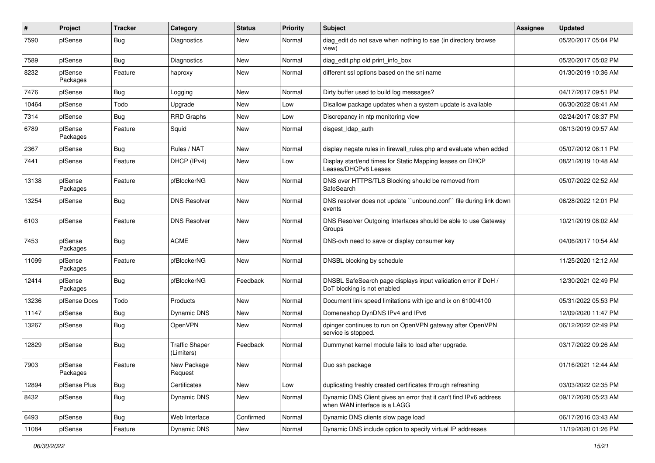| #     | Project             | <b>Tracker</b> | Category                            | <b>Status</b> | <b>Priority</b> | Subject                                                                                           | <b>Assignee</b> | <b>Updated</b>      |
|-------|---------------------|----------------|-------------------------------------|---------------|-----------------|---------------------------------------------------------------------------------------------------|-----------------|---------------------|
| 7590  | pfSense             | Bug            | Diagnostics                         | New           | Normal          | diag edit do not save when nothing to sae (in directory browse<br>view)                           |                 | 05/20/2017 05:04 PM |
| 7589  | pfSense             | Bug            | Diagnostics                         | New           | Normal          | diag edit.php old print info box                                                                  |                 | 05/20/2017 05:02 PM |
| 8232  | pfSense<br>Packages | Feature        | haproxy                             | New           | Normal          | different ssl options based on the sni name                                                       |                 | 01/30/2019 10:36 AM |
| 7476  | pfSense             | <b>Bug</b>     | Logging                             | New           | Normal          | Dirty buffer used to build log messages?                                                          |                 | 04/17/2017 09:51 PM |
| 10464 | pfSense             | Todo           | Upgrade                             | New           | Low             | Disallow package updates when a system update is available                                        |                 | 06/30/2022 08:41 AM |
| 7314  | pfSense             | <b>Bug</b>     | <b>RRD Graphs</b>                   | New           | Low             | Discrepancy in ntp monitoring view                                                                |                 | 02/24/2017 08:37 PM |
| 6789  | pfSense<br>Packages | Feature        | Squid                               | New           | Normal          | disgest_ldap_auth                                                                                 |                 | 08/13/2019 09:57 AM |
| 2367  | pfSense             | Bug            | Rules / NAT                         | New           | Normal          | display negate rules in firewall_rules.php and evaluate when added                                |                 | 05/07/2012 06:11 PM |
| 7441  | pfSense             | Feature        | DHCP (IPv4)                         | New           | Low             | Display start/end times for Static Mapping leases on DHCP<br>Leases/DHCPv6 Leases                 |                 | 08/21/2019 10:48 AM |
| 13138 | pfSense<br>Packages | Feature        | pfBlockerNG                         | New           | Normal          | DNS over HTTPS/TLS Blocking should be removed from<br>SafeSearch                                  |                 | 05/07/2022 02:52 AM |
| 13254 | pfSense             | <b>Bug</b>     | <b>DNS Resolver</b>                 | <b>New</b>    | Normal          | DNS resolver does not update "unbound.conf" file during link down<br>events                       |                 | 06/28/2022 12:01 PM |
| 6103  | pfSense             | Feature        | <b>DNS Resolver</b>                 | New           | Normal          | DNS Resolver Outgoing Interfaces should be able to use Gateway<br>Groups                          |                 | 10/21/2019 08:02 AM |
| 7453  | pfSense<br>Packages | Bug            | <b>ACME</b>                         | New           | Normal          | DNS-ovh need to save or display consumer key                                                      |                 | 04/06/2017 10:54 AM |
| 11099 | pfSense<br>Packages | Feature        | pfBlockerNG                         | New           | Normal          | DNSBL blocking by schedule                                                                        |                 | 11/25/2020 12:12 AM |
| 12414 | pfSense<br>Packages | <b>Bug</b>     | pfBlockerNG                         | Feedback      | Normal          | DNSBL SafeSearch page displays input validation error if DoH /<br>DoT blocking is not enabled     |                 | 12/30/2021 02:49 PM |
| 13236 | pfSense Docs        | Todo           | <b>Products</b>                     | <b>New</b>    | Normal          | Document link speed limitations with igc and ix on 6100/4100                                      |                 | 05/31/2022 05:53 PM |
| 11147 | pfSense             | <b>Bug</b>     | Dynamic DNS                         | <b>New</b>    | Normal          | Domeneshop DynDNS IPv4 and IPv6                                                                   |                 | 12/09/2020 11:47 PM |
| 13267 | pfSense             | Bug            | OpenVPN                             | New           | Normal          | dpinger continues to run on OpenVPN gateway after OpenVPN<br>service is stopped.                  |                 | 06/12/2022 02:49 PM |
| 12829 | pfSense             | <b>Bug</b>     | <b>Traffic Shaper</b><br>(Limiters) | Feedback      | Normal          | Dummynet kernel module fails to load after upgrade.                                               |                 | 03/17/2022 09:26 AM |
| 7903  | pfSense<br>Packages | Feature        | New Package<br>Request              | New           | Normal          | Duo ssh package                                                                                   |                 | 01/16/2021 12:44 AM |
| 12894 | pfSense Plus        | Bug            | Certificates                        | New           | Low             | duplicating freshly created certificates through refreshing                                       |                 | 03/03/2022 02:35 PM |
| 8432  | pfSense             | i Bug          | Dynamic DNS                         | New           | Normal          | Dynamic DNS Client gives an error that it can't find IPv6 address<br>when WAN interface is a LAGG |                 | 09/17/2020 05:23 AM |
| 6493  | pfSense             | Bug            | Web Interface                       | Confirmed     | Normal          | Dynamic DNS clients slow page load                                                                |                 | 06/17/2016 03:43 AM |
| 11084 | pfSense             | Feature        | Dynamic DNS                         | New           | Normal          | Dynamic DNS include option to specify virtual IP addresses                                        |                 | 11/19/2020 01:26 PM |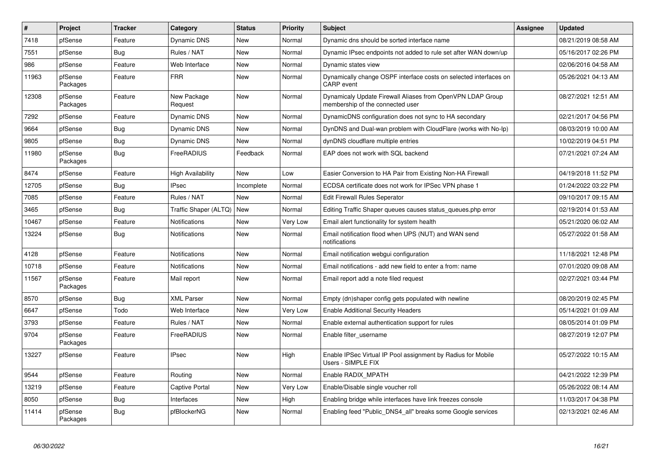| #     | Project             | <b>Tracker</b> | Category                    | <b>Status</b> | <b>Priority</b> | <b>Subject</b>                                                                                 | <b>Assignee</b> | <b>Updated</b>      |
|-------|---------------------|----------------|-----------------------------|---------------|-----------------|------------------------------------------------------------------------------------------------|-----------------|---------------------|
| 7418  | pfSense             | Feature        | <b>Dynamic DNS</b>          | <b>New</b>    | Normal          | Dynamic dns should be sorted interface name                                                    |                 | 08/21/2019 08:58 AM |
| 7551  | pfSense             | Bug            | Rules / NAT                 | <b>New</b>    | Normal          | Dynamic IPsec endpoints not added to rule set after WAN down/up                                |                 | 05/16/2017 02:26 PM |
| 986   | pfSense             | Feature        | Web Interface               | <b>New</b>    | Normal          | Dynamic states view                                                                            |                 | 02/06/2016 04:58 AM |
| 11963 | pfSense<br>Packages | Feature        | <b>FRR</b>                  | <b>New</b>    | Normal          | Dynamically change OSPF interface costs on selected interfaces on<br><b>CARP</b> event         |                 | 05/26/2021 04:13 AM |
| 12308 | pfSense<br>Packages | Feature        | New Package<br>Request      | <b>New</b>    | Normal          | Dynamicaly Update Firewall Aliases from OpenVPN LDAP Group<br>membership of the connected user |                 | 08/27/2021 12:51 AM |
| 7292  | pfSense             | Feature        | <b>Dynamic DNS</b>          | New           | Normal          | DynamicDNS configuration does not sync to HA secondary                                         |                 | 02/21/2017 04:56 PM |
| 9664  | pfSense             | Bug            | Dynamic DNS                 | <b>New</b>    | Normal          | DynDNS and Dual-wan problem with CloudFlare (works with No-Ip)                                 |                 | 08/03/2019 10:00 AM |
| 9805  | pfSense             | Bug            | Dynamic DNS                 | New           | Normal          | dynDNS cloudflare multiple entries                                                             |                 | 10/02/2019 04:51 PM |
| 11980 | pfSense<br>Packages | Bug            | FreeRADIUS                  | Feedback      | Normal          | EAP does not work with SQL backend                                                             |                 | 07/21/2021 07:24 AM |
| 8474  | pfSense             | Feature        | <b>High Availability</b>    | New           | Low             | Easier Conversion to HA Pair from Existing Non-HA Firewall                                     |                 | 04/19/2018 11:52 PM |
| 12705 | pfSense             | Bug            | <b>IPsec</b>                | Incomplete    | Normal          | ECDSA certificate does not work for IPSec VPN phase 1                                          |                 | 01/24/2022 03:22 PM |
| 7085  | pfSense             | Feature        | Rules / NAT                 | <b>New</b>    | Normal          | <b>Edit Firewall Rules Seperator</b>                                                           |                 | 09/10/2017 09:15 AM |
| 3465  | pfSense             | Bug            | Traffic Shaper (ALTQ)   New |               | Normal          | Editing Traffic Shaper queues causes status queues.php error                                   |                 | 02/19/2014 01:53 AM |
| 10467 | pfSense             | Feature        | Notifications               | New           | <b>Very Low</b> | Email alert functionality for system health                                                    |                 | 05/21/2020 06:02 AM |
| 13224 | pfSense             | Bug            | Notifications               | <b>New</b>    | Normal          | Email notification flood when UPS (NUT) and WAN send<br>notifications                          |                 | 05/27/2022 01:58 AM |
| 4128  | pfSense             | Feature        | <b>Notifications</b>        | <b>New</b>    | Normal          | Email notification webgui configuration                                                        |                 | 11/18/2021 12:48 PM |
| 10718 | pfSense             | Feature        | Notifications               | New           | Normal          | Email notifications - add new field to enter a from: name                                      |                 | 07/01/2020 09:08 AM |
| 11567 | pfSense<br>Packages | Feature        | Mail report                 | New           | Normal          | Email report add a note filed request                                                          |                 | 02/27/2021 03:44 PM |
| 8570  | pfSense             | Bug            | <b>XML Parser</b>           | New           | Normal          | Empty (dn)shaper config gets populated with newline                                            |                 | 08/20/2019 02:45 PM |
| 6647  | pfSense             | Todo           | Web Interface               | New           | <b>Very Low</b> | <b>Enable Additional Security Headers</b>                                                      |                 | 05/14/2021 01:09 AM |
| 3793  | pfSense             | Feature        | Rules / NAT                 | New           | Normal          | Enable external authentication support for rules                                               |                 | 08/05/2014 01:09 PM |
| 9704  | pfSense<br>Packages | Feature        | FreeRADIUS                  | New           | Normal          | Enable filter username                                                                         |                 | 08/27/2019 12:07 PM |
| 13227 | pfSense             | Feature        | <b>IPsec</b>                | New           | High            | Enable IPSec Virtual IP Pool assignment by Radius for Mobile<br>Users - SIMPLE FIX             |                 | 05/27/2022 10:15 AM |
| 9544  | pfSense             | Feature        | Routing                     | New           | Normal          | Enable RADIX MPATH                                                                             |                 | 04/21/2022 12:39 PM |
| 13219 | pfSense             | Feature        | Captive Portal              | <b>New</b>    | Very Low        | Enable/Disable single voucher roll                                                             |                 | 05/26/2022 08:14 AM |
| 8050  | pfSense             | Bug            | Interfaces                  | New           | High            | Enabling bridge while interfaces have link freezes console                                     |                 | 11/03/2017 04:38 PM |
| 11414 | pfSense<br>Packages | Bug            | pfBlockerNG                 | <b>New</b>    | Normal          | Enabling feed "Public_DNS4_all" breaks some Google services                                    |                 | 02/13/2021 02:46 AM |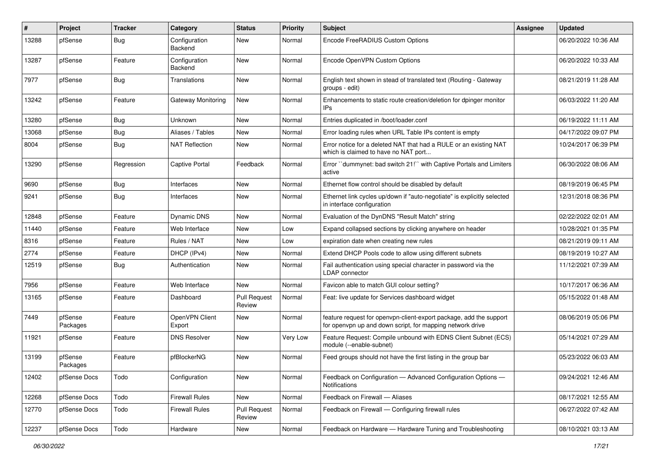| $\#$  | Project             | <b>Tracker</b> | Category                  | <b>Status</b>                 | <b>Priority</b> | <b>Subject</b>                                                                                                                  | Assignee | <b>Updated</b>      |
|-------|---------------------|----------------|---------------------------|-------------------------------|-----------------|---------------------------------------------------------------------------------------------------------------------------------|----------|---------------------|
| 13288 | pfSense             | <b>Bug</b>     | Configuration<br>Backend  | New                           | Normal          | Encode FreeRADIUS Custom Options                                                                                                |          | 06/20/2022 10:36 AM |
| 13287 | pfSense             | Feature        | Configuration<br>Backend  | New                           | Normal          | Encode OpenVPN Custom Options                                                                                                   |          | 06/20/2022 10:33 AM |
| 7977  | pfSense             | Bug            | Translations              | New                           | Normal          | English text shown in stead of translated text (Routing - Gateway<br>groups - edit)                                             |          | 08/21/2019 11:28 AM |
| 13242 | pfSense             | Feature        | <b>Gateway Monitoring</b> | New                           | Normal          | Enhancements to static route creation/deletion for dpinger monitor<br>IPs                                                       |          | 06/03/2022 11:20 AM |
| 13280 | pfSense             | Bug            | Unknown                   | New                           | Normal          | Entries duplicated in /boot/loader.conf                                                                                         |          | 06/19/2022 11:11 AM |
| 13068 | pfSense             | <b>Bug</b>     | Aliases / Tables          | New                           | Normal          | Error loading rules when URL Table IPs content is empty                                                                         |          | 04/17/2022 09:07 PM |
| 8004  | pfSense             | Bug            | <b>NAT Reflection</b>     | New                           | Normal          | Error notice for a deleted NAT that had a RULE or an existing NAT<br>which is claimed to have no NAT port                       |          | 10/24/2017 06:39 PM |
| 13290 | pfSense             | Regression     | <b>Captive Portal</b>     | Feedback                      | Normal          | Error "dummynet: bad switch 21!" with Captive Portals and Limiters<br>active                                                    |          | 06/30/2022 08:06 AM |
| 9690  | pfSense             | Bug            | Interfaces                | New                           | Normal          | Ethernet flow control should be disabled by default                                                                             |          | 08/19/2019 06:45 PM |
| 9241  | pfSense             | <b>Bug</b>     | Interfaces                | New                           | Normal          | Ethernet link cycles up/down if "auto-negotiate" is explicitly selected<br>in interface configuration                           |          | 12/31/2018 08:36 PM |
| 12848 | pfSense             | Feature        | <b>Dynamic DNS</b>        | New                           | Normal          | Evaluation of the DynDNS "Result Match" string                                                                                  |          | 02/22/2022 02:01 AM |
| 11440 | pfSense             | Feature        | Web Interface             | New                           | Low             | Expand collapsed sections by clicking anywhere on header                                                                        |          | 10/28/2021 01:35 PM |
| 8316  | pfSense             | Feature        | Rules / NAT               | New                           | Low             | expiration date when creating new rules                                                                                         |          | 08/21/2019 09:11 AM |
| 2774  | pfSense             | Feature        | DHCP (IPv4)               | New                           | Normal          | Extend DHCP Pools code to allow using different subnets                                                                         |          | 08/19/2019 10:27 AM |
| 12519 | pfSense             | Bug            | Authentication            | New                           | Normal          | Fail authentication using special character in password via the<br>LDAP connector                                               |          | 11/12/2021 07:39 AM |
| 7956  | pfSense             | Feature        | Web Interface             | <b>New</b>                    | Normal          | Favicon able to match GUI colour setting?                                                                                       |          | 10/17/2017 06:36 AM |
| 13165 | pfSense             | Feature        | Dashboard                 | Pull Request<br>Review        | Normal          | Feat: live update for Services dashboard widget                                                                                 |          | 05/15/2022 01:48 AM |
| 7449  | pfSense<br>Packages | Feature        | OpenVPN Client<br>Export  | <b>New</b>                    | Normal          | feature request for openvpn-client-export package, add the support<br>for openypn up and down script, for mapping network drive |          | 08/06/2019 05:06 PM |
| 11921 | pfSense             | Feature        | <b>DNS Resolver</b>       | New                           | Very Low        | Feature Request: Compile unbound with EDNS Client Subnet (ECS)<br>module (--enable-subnet)                                      |          | 05/14/2021 07:29 AM |
| 13199 | pfSense<br>Packages | Feature        | pfBlockerNG               | New                           | Normal          | Feed groups should not have the first listing in the group bar                                                                  |          | 05/23/2022 06:03 AM |
| 12402 | pfSense Docs        | Todo           | Configuration             | New                           | Normal          | Feedback on Configuration - Advanced Configuration Options -<br>Notifications                                                   |          | 09/24/2021 12:46 AM |
| 12268 | pfSense Docs        | Todo           | <b>Firewall Rules</b>     | New                           | Normal          | Feedback on Firewall - Aliases                                                                                                  |          | 08/17/2021 12:55 AM |
| 12770 | pfSense Docs        | Todo           | <b>Firewall Rules</b>     | <b>Pull Request</b><br>Review | Normal          | Feedback on Firewall - Configuring firewall rules                                                                               |          | 06/27/2022 07:42 AM |
| 12237 | pfSense Docs        | Todo           | Hardware                  | New                           | Normal          | Feedback on Hardware - Hardware Tuning and Troubleshooting                                                                      |          | 08/10/2021 03:13 AM |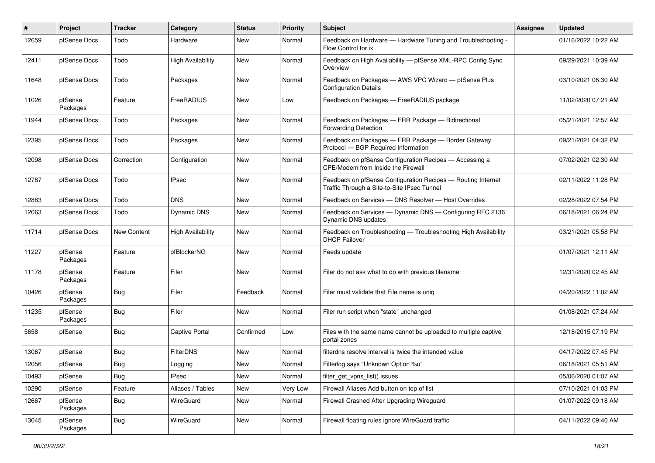| ∦     | Project             | <b>Tracker</b>     | Category                 | <b>Status</b> | <b>Priority</b> | Subject                                                                                                     | <b>Assignee</b> | <b>Updated</b>      |
|-------|---------------------|--------------------|--------------------------|---------------|-----------------|-------------------------------------------------------------------------------------------------------------|-----------------|---------------------|
| 12659 | pfSense Docs        | Todo               | Hardware                 | New           | Normal          | Feedback on Hardware - Hardware Tuning and Troubleshooting -<br>Flow Control for ix                         |                 | 01/16/2022 10:22 AM |
| 12411 | pfSense Docs        | Todo               | High Availability        | New           | Normal          | Feedback on High Availability - pfSense XML-RPC Config Sync<br>Overview                                     |                 | 09/29/2021 10:39 AM |
| 11648 | pfSense Docs        | Todo               | Packages                 | New           | Normal          | Feedback on Packages - AWS VPC Wizard - pfSense Plus<br><b>Configuration Details</b>                        |                 | 03/10/2021 06:30 AM |
| 11026 | pfSense<br>Packages | Feature            | FreeRADIUS               | New           | Low             | Feedback on Packages - FreeRADIUS package                                                                   |                 | 11/02/2020 07:21 AM |
| 11944 | pfSense Docs        | Todo               | Packages                 | New           | Normal          | Feedback on Packages - FRR Package - Bidirectional<br><b>Forwarding Detection</b>                           |                 | 05/21/2021 12:57 AM |
| 12395 | pfSense Docs        | Todo               | Packages                 | New           | Normal          | Feedback on Packages - FRR Package - Border Gateway<br>Protocol - BGP Required Information                  |                 | 09/21/2021 04:32 PM |
| 12098 | pfSense Docs        | Correction         | Configuration            | New           | Normal          | Feedback on pfSense Configuration Recipes - Accessing a<br>CPE/Modem from Inside the Firewall               |                 | 07/02/2021 02:30 AM |
| 12787 | pfSense Docs        | Todo               | <b>IPsec</b>             | New           | Normal          | Feedback on pfSense Configuration Recipes - Routing Internet<br>Traffic Through a Site-to-Site IPsec Tunnel |                 | 02/11/2022 11:28 PM |
| 12883 | pfSense Docs        | Todo               | <b>DNS</b>               | <b>New</b>    | Normal          | Feedback on Services - DNS Resolver - Host Overrides                                                        |                 | 02/28/2022 07:54 PM |
| 12063 | pfSense Docs        | Todo               | <b>Dynamic DNS</b>       | New           | Normal          | Feedback on Services - Dynamic DNS - Configuring RFC 2136<br>Dynamic DNS updates                            |                 | 06/18/2021 06:24 PM |
| 11714 | pfSense Docs        | <b>New Content</b> | <b>High Availability</b> | New           | Normal          | Feedback on Troubleshooting - Troubleshooting High Availability<br><b>DHCP Failover</b>                     |                 | 03/21/2021 05:58 PM |
| 11227 | pfSense<br>Packages | Feature            | pfBlockerNG              | New           | Normal          | Feeds update                                                                                                |                 | 01/07/2021 12:11 AM |
| 11178 | pfSense<br>Packages | Feature            | Filer                    | New           | Normal          | Filer do not ask what to do with previous filename                                                          |                 | 12/31/2020 02:45 AM |
| 10426 | pfSense<br>Packages | Bug                | Filer                    | Feedback      | Normal          | Filer must validate that File name is uniq                                                                  |                 | 04/20/2022 11:02 AM |
| 11235 | pfSense<br>Packages | Bug                | Filer                    | <b>New</b>    | Normal          | Filer run script when "state" unchanged                                                                     |                 | 01/08/2021 07:24 AM |
| 5658  | pfSense             | <b>Bug</b>         | Captive Portal           | Confirmed     | Low             | Files with the same name cannot be uploaded to multiple captive<br>portal zones                             |                 | 12/18/2015 07:19 PM |
| 13067 | pfSense             | Bug                | <b>FilterDNS</b>         | New           | Normal          | filterdns resolve interval is twice the intended value                                                      |                 | 04/17/2022 07:45 PM |
| 12056 | pfSense             | <b>Bug</b>         | Logging                  | New           | Normal          | Filterlog says "Unknown Option %u"                                                                          |                 | 06/18/2021 05:51 AM |
| 10493 | pfSense             | Bug                | <b>IPsec</b>             | New           | Normal          | filter_get_vpns_list() issues                                                                               |                 | 05/06/2020 01:07 AM |
| 10290 | pfSense             | Feature            | Aliases / Tables         | New           | Very Low        | Firewall Aliases Add button on top of list                                                                  |                 | 07/10/2021 01:03 PM |
| 12667 | pfSense<br>Packages | Bug                | WireGuard                | New           | Normal          | Firewall Crashed After Upgrading Wireguard                                                                  |                 | 01/07/2022 09:18 AM |
| 13045 | pfSense<br>Packages | i Bug              | WireGuard                | New           | Normal          | Firewall floating rules ignore WireGuard traffic                                                            |                 | 04/11/2022 09:40 AM |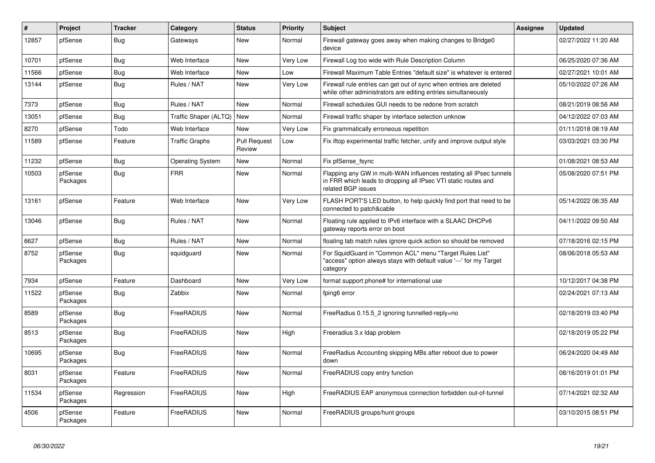| #     | <b>Project</b>      | <b>Tracker</b> | Category                | <b>Status</b>          | Priority | <b>Subject</b>                                                                                                                                              | <b>Assignee</b> | <b>Updated</b>      |
|-------|---------------------|----------------|-------------------------|------------------------|----------|-------------------------------------------------------------------------------------------------------------------------------------------------------------|-----------------|---------------------|
| 12857 | pfSense             | <b>Bug</b>     | Gateways                | <b>New</b>             | Normal   | Firewall gateway goes away when making changes to Bridge0<br>device                                                                                         |                 | 02/27/2022 11:20 AM |
| 10701 | pfSense             | <b>Bug</b>     | Web Interface           | New                    | Very Low | Firewall Log too wide with Rule Description Column                                                                                                          |                 | 06/25/2020 07:36 AM |
| 11566 | pfSense             | <b>Bug</b>     | Web Interface           | <b>New</b>             | Low      | Firewall Maximum Table Entries "default size" is whatever is entered                                                                                        |                 | 02/27/2021 10:01 AM |
| 13144 | pfSense             | Bug            | Rules / NAT             | New                    | Very Low | Firewall rule entries can get out of sync when entries are deleted<br>while other administrators are editing entries simultaneously                         |                 | 05/10/2022 07:26 AM |
| 7373  | pfSense             | <b>Bug</b>     | Rules / NAT             | <b>New</b>             | Normal   | Firewall schedules GUI needs to be redone from scratch                                                                                                      |                 | 08/21/2019 08:56 AM |
| 13051 | pfSense             | <b>Bug</b>     | Traffic Shaper (ALTQ)   | <b>New</b>             | Normal   | Firewall traffic shaper by interface selection unknow                                                                                                       |                 | 04/12/2022 07:03 AM |
| 8270  | pfSense             | Todo           | Web Interface           | New                    | Very Low | Fix grammatically erroneous repetition                                                                                                                      |                 | 01/11/2018 08:19 AM |
| 11589 | pfSense             | Feature        | <b>Traffic Graphs</b>   | Pull Request<br>Review | Low      | Fix iftop experimental traffic fetcher, unify and improve output style                                                                                      |                 | 03/03/2021 03:30 PM |
| 11232 | pfSense             | Bug            | <b>Operating System</b> | <b>New</b>             | Normal   | Fix pfSense fsync                                                                                                                                           |                 | 01/08/2021 08:53 AM |
| 10503 | pfSense<br>Packages | Bug            | <b>FRR</b>              | <b>New</b>             | Normal   | Flapping any GW in multi-WAN influences restating all IPsec tunnels<br>in FRR which leads to dropping all IPsec VTI static routes and<br>related BGP issues |                 | 05/08/2020 07:51 PM |
| 13161 | pfSense             | Feature        | Web Interface           | New                    | Very Low | FLASH PORT'S LED button, to help quickly find port that need to be<br>connected to patch&cable                                                              |                 | 05/14/2022 06:35 AM |
| 13046 | pfSense             | Bug            | Rules / NAT             | New                    | Normal   | Floating rule applied to IPv6 interface with a SLAAC DHCPv6<br>gateway reports error on boot                                                                |                 | 04/11/2022 09:50 AM |
| 6627  | pfSense             | <b>Bug</b>     | Rules / NAT             | <b>New</b>             | Normal   | floating tab match rules ignore quick action so should be removed                                                                                           |                 | 07/18/2016 02:15 PM |
| 8752  | pfSense<br>Packages | Bug            | squidguard              | New                    | Normal   | For SquidGuard in "Common ACL" menu "Target Rules List"<br>"access" option always stays with default value '---' for my Target<br>category                  |                 | 08/06/2018 05:53 AM |
| 7934  | pfSense             | Feature        | Dashboard               | New                    | Very Low | format support phone# for international use                                                                                                                 |                 | 10/12/2017 04:38 PM |
| 11522 | pfSense<br>Packages | <b>Bug</b>     | Zabbix                  | New                    | Normal   | fping6 error                                                                                                                                                |                 | 02/24/2021 07:13 AM |
| 8589  | pfSense<br>Packages | <b>Bug</b>     | FreeRADIUS              | <b>New</b>             | Normal   | FreeRadius 0.15.5 2 ignoring tunnelled-reply=no                                                                                                             |                 | 02/18/2019 03:40 PM |
| 8513  | pfSense<br>Packages | Bug            | FreeRADIUS              | New                    | High     | Freeradius 3.x Idap problem                                                                                                                                 |                 | 02/18/2019 05:22 PM |
| 10695 | pfSense<br>Packages | <b>Bug</b>     | FreeRADIUS              | <b>New</b>             | Normal   | Free Radius Accounting skipping MBs after reboot due to power<br>down                                                                                       |                 | 06/24/2020 04:49 AM |
| 8031  | pfSense<br>Packages | Feature        | FreeRADIUS              | New                    | Normal   | FreeRADIUS copy entry function                                                                                                                              |                 | 08/16/2019 01:01 PM |
| 11534 | pfSense<br>Packages | Regression     | FreeRADIUS              | New                    | High     | FreeRADIUS EAP anonymous connection forbidden out-of-tunnel                                                                                                 |                 | 07/14/2021 02:32 AM |
| 4506  | pfSense<br>Packages | Feature        | FreeRADIUS              | <b>New</b>             | Normal   | FreeRADIUS groups/hunt groups                                                                                                                               |                 | 03/10/2015 08:51 PM |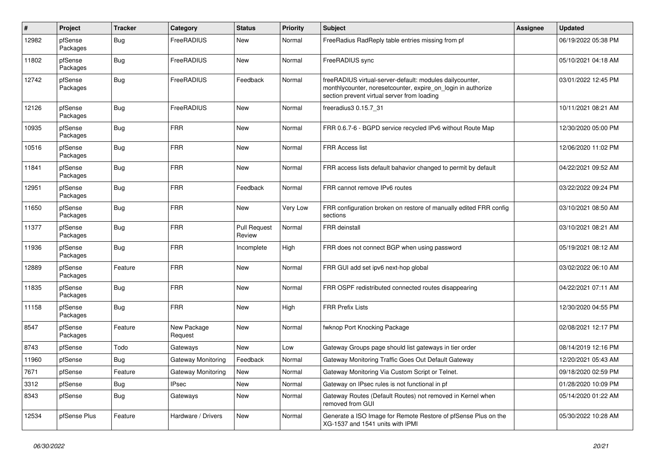| $\#$  | Project             | <b>Tracker</b> | Category               | <b>Status</b>                 | <b>Priority</b> | <b>Subject</b>                                                                                                                                                          | Assignee | <b>Updated</b>      |
|-------|---------------------|----------------|------------------------|-------------------------------|-----------------|-------------------------------------------------------------------------------------------------------------------------------------------------------------------------|----------|---------------------|
| 12982 | pfSense<br>Packages | Bug            | FreeRADIUS             | New                           | Normal          | FreeRadius RadReply table entries missing from pf                                                                                                                       |          | 06/19/2022 05:38 PM |
| 11802 | pfSense<br>Packages | <b>Bug</b>     | FreeRADIUS             | New                           | Normal          | FreeRADIUS sync                                                                                                                                                         |          | 05/10/2021 04:18 AM |
| 12742 | pfSense<br>Packages | <b>Bug</b>     | FreeRADIUS             | Feedback                      | Normal          | freeRADIUS virtual-server-default: modules dailycounter,<br>monthlycounter, noresetcounter, expire on login in authorize<br>section prevent virtual server from loading |          | 03/01/2022 12:45 PM |
| 12126 | pfSense<br>Packages | <b>Bug</b>     | FreeRADIUS             | New                           | Normal          | freeradius3 0.15.7 31                                                                                                                                                   |          | 10/11/2021 08:21 AM |
| 10935 | pfSense<br>Packages | <b>Bug</b>     | <b>FRR</b>             | New                           | Normal          | FRR 0.6.7-6 - BGPD service recycled IPv6 without Route Map                                                                                                              |          | 12/30/2020 05:00 PM |
| 10516 | pfSense<br>Packages | Bug            | <b>FRR</b>             | <b>New</b>                    | Normal          | FRR Access list                                                                                                                                                         |          | 12/06/2020 11:02 PM |
| 11841 | pfSense<br>Packages | <b>Bug</b>     | <b>FRR</b>             | New                           | Normal          | FRR access lists default bahavior changed to permit by default                                                                                                          |          | 04/22/2021 09:52 AM |
| 12951 | pfSense<br>Packages | <b>Bug</b>     | <b>FRR</b>             | Feedback                      | Normal          | FRR cannot remove IPv6 routes                                                                                                                                           |          | 03/22/2022 09:24 PM |
| 11650 | pfSense<br>Packages | Bug            | <b>FRR</b>             | New                           | Very Low        | FRR configuration broken on restore of manually edited FRR config<br>sections                                                                                           |          | 03/10/2021 08:50 AM |
| 11377 | pfSense<br>Packages | <b>Bug</b>     | <b>FRR</b>             | <b>Pull Request</b><br>Review | Normal          | FRR deinstall                                                                                                                                                           |          | 03/10/2021 08:21 AM |
| 11936 | pfSense<br>Packages | Bug            | <b>FRR</b>             | Incomplete                    | High            | FRR does not connect BGP when using password                                                                                                                            |          | 05/19/2021 08:12 AM |
| 12889 | pfSense<br>Packages | Feature        | <b>FRR</b>             | <b>New</b>                    | Normal          | FRR GUI add set ipv6 next-hop global                                                                                                                                    |          | 03/02/2022 06:10 AM |
| 11835 | pfSense<br>Packages | <b>Bug</b>     | <b>FRR</b>             | <b>New</b>                    | Normal          | FRR OSPF redistributed connected routes disappearing                                                                                                                    |          | 04/22/2021 07:11 AM |
| 11158 | pfSense<br>Packages | Bug            | <b>FRR</b>             | New                           | High            | <b>FRR Prefix Lists</b>                                                                                                                                                 |          | 12/30/2020 04:55 PM |
| 8547  | pfSense<br>Packages | Feature        | New Package<br>Request | New                           | Normal          | fwknop Port Knocking Package                                                                                                                                            |          | 02/08/2021 12:17 PM |
| 8743  | pfSense             | Todo           | Gateways               | <b>New</b>                    | Low             | Gateway Groups page should list gateways in tier order                                                                                                                  |          | 08/14/2019 12:16 PM |
| 11960 | pfSense             | Bug            | Gateway Monitoring     | Feedback                      | Normal          | Gateway Monitoring Traffic Goes Out Default Gateway                                                                                                                     |          | 12/20/2021 05:43 AM |
| 7671  | pfSense             | Feature        | Gateway Monitoring     | New                           | Normal          | Gateway Monitoring Via Custom Script or Telnet.                                                                                                                         |          | 09/18/2020 02:59 PM |
| 3312  | pfSense             | <b>Bug</b>     | <b>IPsec</b>           | <b>New</b>                    | Normal          | Gateway on IPsec rules is not functional in pf                                                                                                                          |          | 01/28/2020 10:09 PM |
| 8343  | pfSense             | <b>Bug</b>     | Gateways               | New                           | Normal          | Gateway Routes (Default Routes) not removed in Kernel when<br>removed from GUI                                                                                          |          | 05/14/2020 01:22 AM |
| 12534 | pfSense Plus        | Feature        | Hardware / Drivers     | New                           | Normal          | Generate a ISO Image for Remote Restore of pfSense Plus on the<br>XG-1537 and 1541 units with IPMI                                                                      |          | 05/30/2022 10:28 AM |